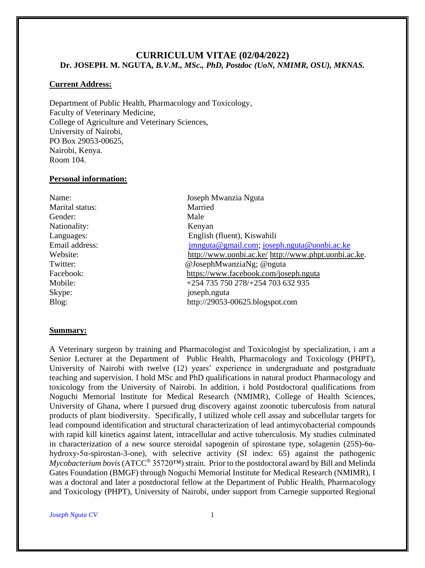## **CURRICULUM VITAE (02/04/2022) Dr. JOSEPH. M. NGUTA***, B.V.M., MSc., PhD, Postdoc (UoN, NMIMR, OSU), MKNAS.*

#### **Current Address:**

Department of Public Health, Pharmacology and Toxicology, Faculty of Veterinary Medicine, College of Agriculture and Veterinary Sciences, University of Nairobi, PO Box 29053-00625, Nairobi, Kenya. Room 104.

#### **Personal information:**

| Name:           | Joseph Mwanzia Nguta                                 |
|-----------------|------------------------------------------------------|
| Marital status: | Married                                              |
| Gender:         | Male                                                 |
| Nationality:    | Kenyan                                               |
| Languages:      | English (fluent), Kiswahili                          |
| Email address:  | jmnguta@gmail.com; joseph.nguta@uonbi.ac.ke          |
| Website:        | http://www.uonbi.ac.ke/ http://www.phpt.uonbi.ac.ke. |
| Twitter:        | @JosephMwanziaNg; @nguta                             |
| Facebook:       | https://www.facebook.com/joseph.nguta                |
| Mobile:         | +254 735 750 278/+254 703 632 935                    |
| Skype:          | joseph.nguta                                         |
| Blog:           | http://29053-00625.blogspot.com                      |
|                 |                                                      |

#### **Summary:**

A Veterinary surgeon by training and Pharmacologist and Toxicologist by specialization, i am a Senior Lecturer at the Department of Public Health, Pharmacology and Toxicology (PHPT), University of Nairobi with twelve (12) years' experience in undergraduate and postgraduate teaching and supervision. I hold MSc and PhD qualifications in natural product Pharmacology and toxicology from the University of Nairobi. In addition, i hold Postdoctoral qualifications from Noguchi Memorial Institute for Medical Research (NMIMR), College of Health Sciences, University of Ghana, where I pursued drug discovery against zoonotic tuberculosis from natural products of plant biodiversity. Specifically, I utilized whole cell assay and subcellular targets for lead compound identification and structural characterization of lead antimycobacterial compounds with rapid kill kinetics against latent, intracellular and active tuberculosis. My studies culminated in characterization of a new source steroidal sapogenin of spirostane type, solagenin (25S)-6αhydroxy-5α-spirostan-3-one), with selective activity (SI index: 65) against the pathogenic *Mycobacterium bovis* (ATCC® 35720™) strain. Prior to the postdoctoral award by Bill and Melinda Gates Foundation (BMGF) through Noguchi Memorial Institute for Medical Research (NMIMR), I was a doctoral and later a postdoctoral fellow at the Department of Public Health, Pharmacology and Toxicology (PHPT), University of Nairobi, under support from Carnegie supported Regional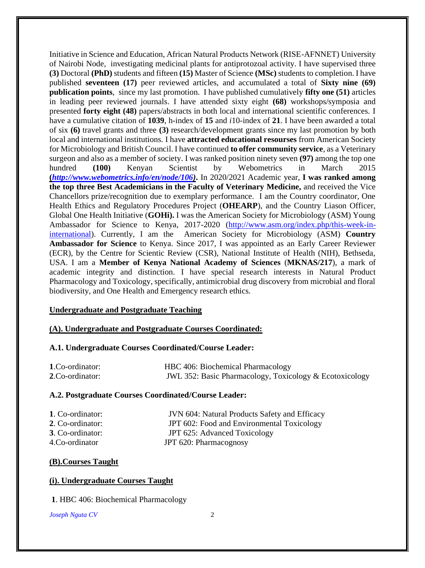Initiative in Science and Education, African Natural Products Network (RISE-AFNNET) University of Nairobi Node, investigating medicinal plants for antiprotozoal activity. I have supervised three **(3)** Doctoral **(PhD)** students and fifteen **(15)** Master of Science **(MSc)** students to completion. I have published **seventeen (17)** peer reviewed articles, and accumulated a total of **Sixty nine (69) publication points**, since my last promotion. I have published cumulatively **fifty one (51)** articles in leading peer reviewed journals. I have attended sixty eight **(68)** workshops/symposia and presented **forty eight (48)** papers/abstracts in both local and international scientific conferences. I have a cumulative citation of **1039**, h-index of **15** and *i*10-index of **21**. I have been awarded a total of six **(6)** travel grants and three **(3)** research/development grants since my last promotion by both local and international institutions. I have **attracted educational resourses** from American Society for Microbiology and British Council. I have continued **to offer community service**, as a Veterinary surgeon and also as a member of society. I was ranked position ninety seven **(97)** among the top one hundred **(100)** Kenyan Scientist by Webometrics in March 2015 **(***[http://www.webometrics.info/en/node/106\)](http://www.webometrics.info/en/node/106)***.** In 2020/2021 Academic year, **I was ranked among the top three Best Academicians in the Faculty of Veterinary Medicine,** and received the Vice Chancellors prize/recognition due to exemplary performance. I am the Country coordinator, One Health Ethics and Regulatory Procedures Project (**OHEARP**), and the Country Liason Officer, Global One Health Initiative (**GOHi).** I was the American Society for Microbiology (ASM) Young Ambassador for Science to Kenya, 2017-2020 [\(http://www.asm.org/index.php/this-week-in](http://www.asm.org/index.php/this-week-in-international)[international\)](http://www.asm.org/index.php/this-week-in-international). Currently, I am the American Society for Microbiology (ASM) **Country Ambassador for Science** to Kenya. Since 2017, I was appointed as an Early Career Reviewer (ECR), by the Centre for Scientic Review (CSR), National Institute of Health (NIH), Bethseda, USA. I am a **Member of Kenya National Academy of Sciences** (**MKNAS/217**), a mark of academic integrity and distinction. I have special research interests in Natural Product Pharmacology and Toxicology, specifically, antimicrobial drug discovery from microbial and floral biodiversity, and One Health and Emergency research ethics.

#### **Undergraduate and Postgraduate Teaching**

## **(A). Undergraduate and Postgraduate Courses Coordinated:**

#### **A.1. Undergraduate Courses Coordinated/Course Leader:**

| 1.Co-ordinator: | HBC 406: Biochemical Pharmacology                       |
|-----------------|---------------------------------------------------------|
| 2.Co-ordinator: | JWL 352: Basic Pharmacology, Toxicology & Ecotoxicology |

#### **A.2. Postgraduate Courses Coordinated/Course Leader:**

| 1. Co-ordinator:        | <b>JVN</b> 604: Natural Products Safety and Efficacy |
|-------------------------|------------------------------------------------------|
| 2. Co-ordinator:        | JPT 602: Food and Environmental Toxicology           |
| <b>3.</b> Co-ordinator: | JPT 625: Advanced Toxicology                         |
| 4.Co-ordinator          | JPT 620: Pharmacognosy                               |

#### **(B).Courses Taught**

#### **(i). Undergraduate Courses Taught**

**1**. HBC 406: Biochemical Pharmacology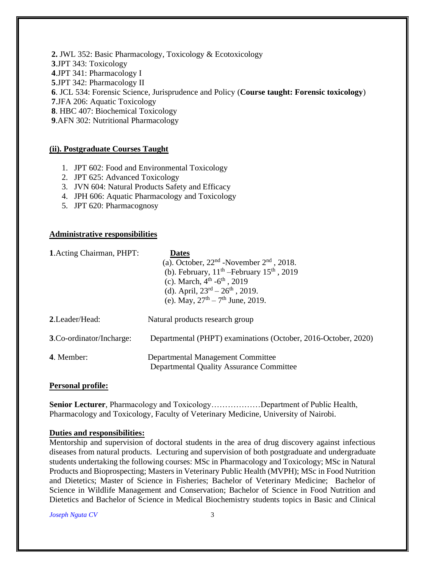**2.** JWL 352: Basic Pharmacology, Toxicology & Ecotoxicology .JPT 343: Toxicology .JPT 341: Pharmacology I .JPT 342: Pharmacology II . JCL 534: Forensic Science, Jurisprudence and Policy (**Course taught: Forensic toxicology**) .JFA 206: Aquatic Toxicology . HBC 407: Biochemical Toxicology .AFN 302: Nutritional Pharmacology

#### **(ii). Postgraduate Courses Taught**

- 1. JPT 602: Food and Environmental Toxicology
- 2. JPT 625: Advanced Toxicology
- 3. JVN 604: Natural Products Safety and Efficacy
- 4. JPH 606: Aquatic Pharmacology and Toxicology
- 5. JPT 620: Pharmacognosy

#### **Administrative responsibilities**

| <b>1.</b> Acting Chairman, PHPT: | <b>Dates</b>                                                                         |
|----------------------------------|--------------------------------------------------------------------------------------|
|                                  | (a). October, $22nd$ -November $2nd$ , 2018.                                         |
|                                  | (b). February, $11^{th}$ -February $15^{th}$ , 2019                                  |
|                                  | (c). March, $4^{th}$ - $6^{th}$ , 2019                                               |
|                                  | (d). April, $23^{rd} - 26^{th}$ , 2019.                                              |
|                                  | (e). May, $27^{\text{th}} - 7^{\text{th}}$ June, 2019.                               |
| 2. Leader/Head:                  | Natural products research group                                                      |
| <b>3. Co-ordinator/Incharge:</b> | Departmental (PHPT) examinations (October, 2016-October, 2020)                       |
| 4. Member:                       | Departmental Management Committee<br><b>Departmental Quality Assurance Committee</b> |

#### **Personal profile:**

**Senior Lecturer**, Pharmacology and Toxicology………………Department of Public Health, Pharmacology and Toxicology, Faculty of Veterinary Medicine, University of Nairobi.

#### **Duties and responsibilities:**

Mentorship and supervision of doctoral students in the area of drug discovery against infectious diseases from natural products. Lecturing and supervision of both postgraduate and undergraduate students undertaking the following courses: MSc in Pharmacology and Toxicology; MSc in Natural Products and Bioprospecting; Masters in Veterinary Public Health (MVPH); MSc in Food Nutrition and Dietetics; Master of Science in Fisheries; Bachelor of Veterinary Medicine; Bachelor of Science in Wildlife Management and Conservation; Bachelor of Science in Food Nutrition and Dietetics and Bachelor of Science in Medical Biochemistry students topics in Basic and Clinical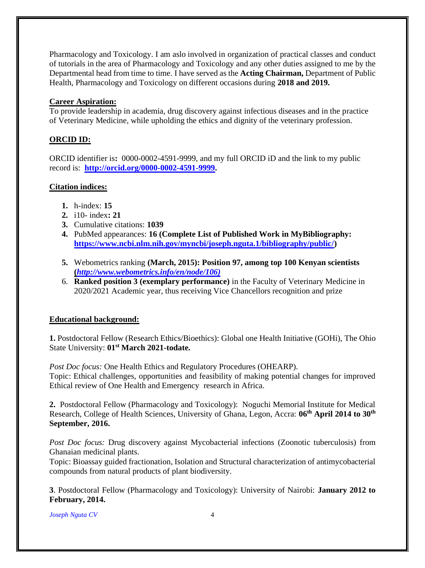Pharmacology and Toxicology. I am aslo involved in organization of practical classes and conduct of tutorials in the area of Pharmacology and Toxicology and any other duties assigned to me by the Departmental head from time to time. I have served as the **Acting Chairman,** Department of Public Health, Pharmacology and Toxicology on different occasions during **2018 and 2019.**

# **Career Aspiration:**

To provide leadership in academia, drug discovery against infectious diseases and in the practice of Veterinary Medicine, while upholding the ethics and dignity of the veterinary profession.

# **ORCID ID:**

ORCID identifier is**:** 0000-0002-4591-9999, and my full ORCID iD and the link to my public record is: **[http://orcid.org/0000-0002-4591-9999.](http://orcid.org/0000-0002-4591-9999?lang=en)**

# **Citation indices:**

- **1.** h-index: **15**
- **2.** i10- index**: 21**
- **3.** Cumulative citations: **1039**
- **4.** PubMed appearances: **16 (Complete List of Published Work in MyBibliography: [https://www.ncbi.nlm.nih.gov/myncbi/joseph.nguta.1/bibliography/public/\)](https://www.ncbi.nlm.nih.gov/myncbi/joseph.nguta.1/bibliography/public/)**
- **5.** Webometrics ranking **(March, 2015): Position 97, among top 100 Kenyan scientists (***[http://www.webometrics.info/en/node/106\)](http://www.webometrics.info/en/node/106)*
- 6. **Ranked position 3 (exemplary performance)** in the Faculty of Veterinary Medicine in 2020/2021 Academic year, thus receiving Vice Chancellors recognition and prize

# **Educational background:**

**1.** Postdoctoral Fellow (Research Ethics/Bioethics): Global one Health Initiative (GOHi), The Ohio State University: 01<sup>st</sup> March 2021-todate.

*Post Doc focus:* One Health Ethics and Regulatory Procedures (OHEARP). Topic: Ethical challenges, opportunities and feasibility of making potential changes for improved Ethical review of One Health and Emergency research in Africa.

**2.** Postdoctoral Fellow (Pharmacology and Toxicology): Noguchi Memorial Institute for Medical Research, College of Health Sciences, University of Ghana, Legon, Accra: **06th April 2014 to 30th September, 2016.**

*Post Doc focus:* Drug discovery against Mycobacterial infections (Zoonotic tuberculosis) from Ghanaian medicinal plants.

Topic: Bioassay guided fractionation, Isolation and Structural characterization of antimycobacterial compounds from natural products of plant biodiversity.

**3**. Postdoctoral Fellow (Pharmacology and Toxicology): University of Nairobi: **January 2012 to February, 2014.**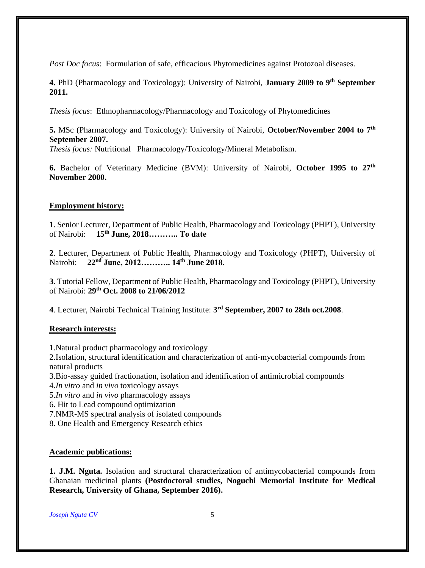*Post Doc focus*: Formulation of safe, efficacious Phytomedicines against Protozoal diseases.

**4.** PhD (Pharmacology and Toxicology): University of Nairobi, **January 2009 to 9th September 2011.**

*Thesis focus*: Ethnopharmacology/Pharmacology and Toxicology of Phytomedicines

**5.** MSc (Pharmacology and Toxicology): University of Nairobi, **October/November 2004 to 7th September 2007.**

*Thesis focus:* Nutritional Pharmacology/Toxicology/Mineral Metabolism*.*

**6.** Bachelor of Veterinary Medicine (BVM): University of Nairobi, **October 1995 to 27th November 2000.**

## **Employment history:**

**1**. Senior Lecturer, Department of Public Health, Pharmacology and Toxicology (PHPT), University of Nairobi: **15th June, 2018……….. To date**

**2**. Lecturer, Department of Public Health, Pharmacology and Toxicology (PHPT), University of Nairobi: **22nd June, 2012……….. 14th June 2018.** 

**3**. Tutorial Fellow, Department of Public Health, Pharmacology and Toxicology (PHPT), University of Nairobi: **29th Oct. 2008 to 21/06/2012**

**4**. Lecturer, Nairobi Technical Training Institute: **3 rd September, 2007 to 28th oct.2008**.

## **Research interests:**

1.Natural product pharmacology and toxicology

2.Isolation, structural identification and characterization of anti-mycobacterial compounds from natural products

3.Bio-assay guided fractionation, isolation and identification of antimicrobial compounds

4.*In vitro* and *in vivo* toxicology assays

5.*In vitro* and *in vivo* pharmacology assays

6. Hit to Lead compound optimization

7.NMR-MS spectral analysis of isolated compounds

8. One Health and Emergency Research ethics

## **Academic publications:**

**1. J.M. Nguta.** Isolation and structural characterization of antimycobacterial compounds from Ghanaian medicinal plants **(Postdoctoral studies, Noguchi Memorial Institute for Medical Research, University of Ghana, September 2016).**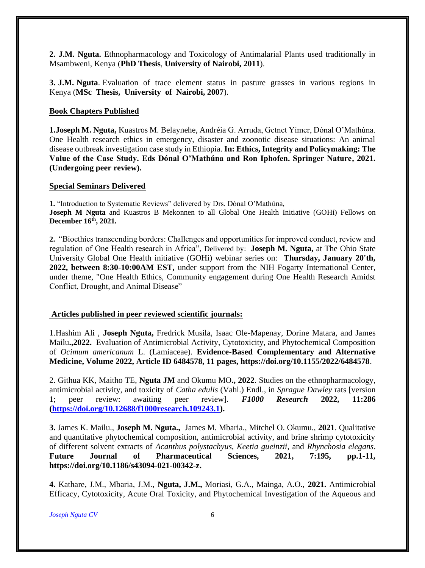**2. J.M. Nguta.** Ethnopharmacology and Toxicology of Antimalarial Plants used traditionally in Msambweni, Kenya (**PhD Thesis**, **University of Nairobi, 2011**).

**3. J.M. Nguta**. Evaluation of trace element status in pasture grasses in various regions in Kenya (**MSc Thesis, University of Nairobi, 2007**).

#### **Book Chapters Published**

**1.Joseph M. Nguta,** Kuastros M. Belaynehe, Andréia G. Arruda, Getnet Yimer, Dónal O'Mathúna. One Health research ethics in emergency, disaster and zoonotic disease situations: An animal disease outbreak investigation case study in Ethiopia. **In: Ethics, Integrity and Policymaking: The Value of the Case Study. Eds Dónal O'Mathúna and Ron Iphofen. Springer Nature, 2021. (Undergoing peer review).**

#### **Special Seminars Delivered**

**1.** "Introduction to Systematic Reviews" delivered by Drs. Dónal O'Mathúna, **Joseph M Nguta** and Kuastros B Mekonnen to all Global One Health Initiative (GOHi) Fellows on **December 16th, 2021.**

**2.** "Bioethics transcending borders: Challenges and opportunities for improved conduct, review and regulation of One Health research in Africa", Delivered by: **Joseph M. Nguta,** at The Ohio State University Global One Health initiative (GOHi) webinar series on: **Thursday, January 20'th, 2022, between 8:30-10:00AM EST,** under support from the NIH Fogarty International Center, under theme, "One Health Ethics, Community engagement during One Health Research Amidst Conflict, Drought, and Animal Disease"

#### **Articles published in peer reviewed scientific journals:**

1.Hashim Ali , **Joseph Nguta,** Fredrick Musila, Isaac Ole-Mapenay, Dorine Matara, and James Mailu**.,2022.** Evaluation of Antimicrobial Activity, Cytotoxicity, and Phytochemical Composition of *Ocimum americanum* L. (Lamiaceae). **Evidence-Based Complementary and Alternative Medicine, Volume 2022, Article ID 6484578, 11 pages, https://doi.org/10.1155/2022/6484578**.

2. Githua KK, Maitho TE, **Nguta JM** and Okumu MO**., 2022**. Studies on the ethnopharmacology, antimicrobial activity, and toxicity of *Catha edulis* (Vahl.) Endl., in *Sprague Dawley* rats [version 1; peer review: awaiting peer review]. *F1000 Research* **2022, 11:286 [\(https://doi.org/10.12688/f1000research.109243.1\)](https://doi.org/10.12688/f1000research.109243.1).**

**3.** James K. Mailu., **Joseph M. Nguta.,** James M. Mbaria., Mitchel O. Okumu., **2021**. Qualitative and quantitative phytochemical composition, antimicrobial activity, and brine shrimp cytotoxicity of different solvent extracts of *Acanthus polystachyus, Keetia gueinzii*, and *Rhynchosia elegans*. **Future Journal of Pharmaceutical Sciences, 2021, 7:195, pp.1-11, https://doi.org/10.1186/s43094-021-00342-z.**

**4.** Kathare, J.M., Mbaria, J.M., **Nguta, J.M.,** Moriasi, G.A., Mainga, A.O., **2021.** Antimicrobial Efficacy, Cytotoxicity, Acute Oral Toxicity, and Phytochemical Investigation of the Aqueous and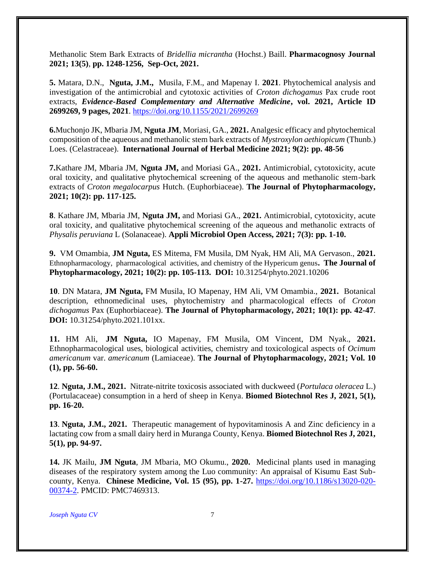Methanolic Stem Bark Extracts of *Bridellia micrantha* (Hochst.) Baill. **Pharmacognosy Journal 2021; 13(5)**, **pp. 1248-1256, Sep-Oct, 2021.**

**5.** Matara, D.N., **Nguta, J.M.,** Musila, F.M., and Mapenay I. **2021**. Phytochemical analysis and investigation of the antimicrobial and cytotoxic activities of *Croton dichogamus* Pax crude root extracts, *Evidence-Based Complementary and Alternative Medicine***, vol. 2021, Article ID 2699269, 9 pages, 2021**.<https://doi.org/10.1155/2021/2699269>

**6.**Muchonjo JK, Mbaria JM, **Nguta JM**, Moriasi, GA., **2021.** Analgesic efficacy and phytochemical composition of the aqueous and methanolic stem bark extracts of *Mystroxylon aethiopicum* (Thunb.) Loes. (Celastraceae). **International Journal of Herbal Medicine 2021; 9(2): pp. 48-56**

**7.**Kathare JM, Mbaria JM, **Nguta JM,** and Moriasi GA., **2021.** Antimicrobial, cytotoxicity, acute oral toxicity, and qualitative phytochemical screening of the aqueous and methanolic stem-bark extracts of *Croton megalocarpus* Hutch. (Euphorbiaceae). **The Journal of Phytopharmacology, 2021; 10(2): pp. 117-125.**

**8**. Kathare JM, Mbaria JM, **Nguta JM,** and Moriasi GA., **2021.** Antimicrobial, cytotoxicity, acute oral toxicity, and qualitative phytochemical screening of the aqueous and methanolic extracts of *Physalis peruviana* L (Solanaceae). **Appli Microbiol Open Access, 2021; 7(3): pp. 1-10.**

**9.** VM Omambia, **JM Nguta,** ES Mitema, FM Musila, DM Nyak, HM Ali, MA Gervason., **2021.**  Ethnopharmacology, pharmacological activities, and chemistry of the Hypericum genus**. [The Journal of](http://www.phytopharmajournal.com/Volume10issue1.html)  [Phytopharmacology, 2021;](http://www.phytopharmajournal.com/Volume10issue1.html) 10(2): pp. 105-113. DOI:** 10.31254/phyto.2021.10206

**10**. DN Matara, **JM Nguta,** FM Musila, IO Mapenay, HM Ali, VM Omambia., **2021.** Botanical description, ethnomedicinal uses, phytochemistry and pharmacological effects of *Croton dichogamus* Pax (Euphorbiaceae). **[The Journal of Phytopharmacology, 2021;](http://www.phytopharmajournal.com/Volume10issue1.html) 10(1): pp. 42-47**. **DOI:** [10.31254/phyto.2021.101xx.](http://www.phytopharmajournal.com/Volume10issue1.html)

**11.** HM Ali, **JM Nguta,** IO Mapenay, FM Musila, OM Vincent, DM Nyak., **2021.** Ethnopharmacological uses, biological activities, chemistry and toxicological aspects of *Ocimum americanum* var. *americanum* (Lamiaceae). **The Journal of Phytopharmacology, 2021; Vol. 10 (1), pp. 56-60.** 

**12**. **Nguta, J.M., 2021.** Nitrate-nitrite toxicosis associated with duckweed (*Portulaca oleracea* L.) (Portulacaceae) consumption in a herd of sheep in Kenya. **Biomed Biotechnol Res J, 2021, 5(1), pp. 16-20.**

**13**. **Nguta, J.M., 2021.** Therapeutic management of hypovitaminosis A and Zinc deficiency in a lactating cow from a small dairy herd in Muranga County, Kenya. **Biomed Biotechnol Res J, 2021, 5(1), pp. 94-97.** 

**14.** JK Mailu, **JM Nguta**, JM Mbaria, MO Okumu., **2020.** Medicinal plants used in managing diseases of the respiratory system among the Luo community: An appraisal of Kisumu East Subcounty, Kenya. **Chinese Medicine, Vol. 15 (95), pp. 1-27.** [https://doi.org/10.1186/s13020-020-](https://doi.org/10.1186/s13020-020-00374-2) [00374-2.](https://doi.org/10.1186/s13020-020-00374-2) PMCID: PMC7469313.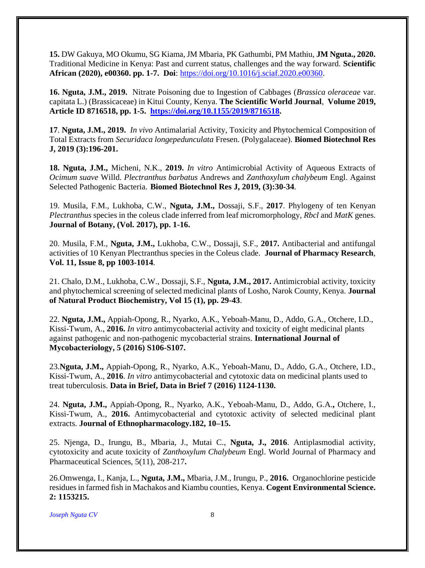**15.** DW Gakuya, MO Okumu, SG Kiama, JM Mbaria, PK Gathumbi, PM Mathiu, **JM Nguta., 2020.** Traditional Medicine in Kenya: Past and current status, challenges and the way forward. **Scientific African (2020), e00360. pp. 1-7. Doi**: [https://doi.org/10.1016/j.sciaf.2020.e00360.](https://doi.org/10.1016/j.sciaf.2020.e00360)

**16. Nguta, J.M., 2019.** Nitrate Poisoning due to Ingestion of Cabbages (*Brassica oleraceae* var. capitata L.) (Brassicaceae) in Kitui County, Kenya. **The Scientific World Journal**, **Volume 2019, Article ID 8716518, pp. 1-5. [https://doi.org/10.1155/2019/8716518.](https://doi.org/10.1155/2019/8716518)**

**17**. **Nguta, J.M., 2019.** *In vivo* Antimalarial Activity, Toxicity and Phytochemical Composition of Total Extracts from *Securidaca longepedunculata* Fresen. (Polygalaceae). **Biomed Biotechnol Res J, 2019 (3):196-201.**

**18. Nguta, J.M.,** Micheni, N.K., **2019.** *In vitro* Antimicrobial Activity of Aqueous Extracts of *Ocimum suave* Willd. *Plectranthus barbatus* Andrews and *Zanthoxylum chalybeum* Engl. Against Selected Pathogenic Bacteria. **Biomed Biotechnol Res J, 2019, (3):30-34**.

19. Musila, F.M., Lukhoba, C.W., **Nguta, J.M.,** Dossaji, S.F., **2017**. Phylogeny of ten Kenyan *Plectranthus* species in the coleus clade inferred from leaf micromorphology, *Rbcl* and *MatK* genes. **Journal of Botany, (Vol. 2017), pp. 1-16.** 

20. Musila, F.M., **Nguta, J.M.,** Lukhoba, C.W., Dossaji, S.F., **2017.** Antibacterial and antifungal activities of 10 Kenyan Plectranthus species in the Coleus clade. **Journal of Pharmacy Research**, **Vol. 11, Issue 8, pp 1003-1014**.

21. Chalo, D.M., Lukhoba, C.W., Dossaji, S.F., **Nguta, J.M., 2017.** Antimicrobial activity, toxicity and phytochemical screening of selected medicinal plants of Losho, Narok County, Kenya. **Journal of Natural Product Biochemistry, Vol 15 (1), pp. 29-43**.

22. **Nguta, J.M.,** Appiah-Opong, R., Nyarko, A.K., Yeboah-Manu, D., Addo, G.A., Otchere, I.D., Kissi-Twum, A., **2016.** *In vitro* antimycobacterial activity and toxicity of eight medicinal plants against pathogenic and non-pathogenic mycobacterial strains. **International Journal of Mycobacteriology, 5 (2016) S106-S107.** 

23.**Nguta, J.M.,** Appiah-Opong, R., Nyarko, A.K., Yeboah-Manu, D., Addo, G.A., Otchere, I.D., Kissi-Twum, A., **2016**. *In vitro* antimycobacterial and cytotoxic data on medicinal plants used to treat tuberculosis. **Data in Brief, Data in Brief 7 (2016) 1124-1130.**

24. **Nguta, J.M.,** Appiah-Opong, R., Nyarko, A.K., Yeboah-Manu, D., Addo, G.A.**,** Otchere, I., Kissi-Twum, A., **2016.** Antimycobacterial and cytotoxic activity of selected medicinal plant extracts. **Journal of Ethnopharmacology.182, 10–15.**

25. Njenga, D., Irungu, B., Mbaria, J., Mutai C., **Nguta, J., 2016**. Antiplasmodial activity, cytotoxicity and acute toxicity of *Zanthoxylum Chalybeum* Engl. World Journal of Pharmacy and Pharmaceutical Sciences, 5(11), 208-217**.**

26.Omwenga, I., Kanja, L., **Nguta, J.M.,** Mbaria, J.M., Irungu, P., **2016.** Organochlorine pesticide residues in farmed fish in Machakos and Kiambu counties, Kenya. **Cogent Environmental Science. 2: 1153215.**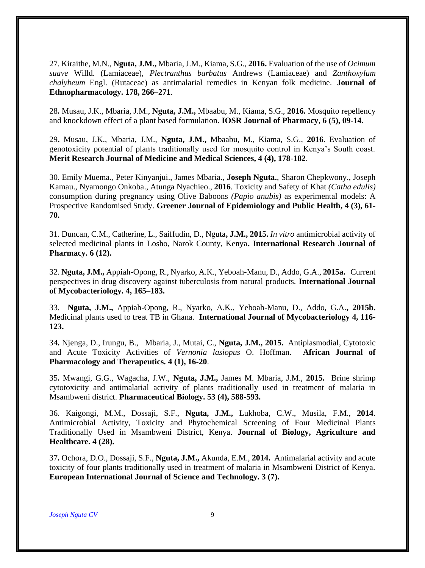27. Kiraithe, M.N., **Nguta, J.M.,** Mbaria, J.M., Kiama, S.G., **2016.** Evaluation of the use of *Ocimum suave* Willd. (Lamiaceae), *Plectranthus barbatus* Andrews (Lamiaceae) and *Zanthoxylum chalybeum* Engl. (Rutaceae) as antimalarial remedies in Kenyan folk medicine. **Journal of Ethnopharmacology. 178, 266–271**.

28**.** Musau, J.K., Mbaria, J.M., **Nguta, J.M.,** Mbaabu, M., Kiama, S.G., **2016.** Mosquito repellency and knockdown effect of a plant based formulation**. IOSR Journal of Pharmacy**, **6 (5), 09-14.**

29**.** Musau, J.K., Mbaria, J.M., **Nguta, J.M.,** Mbaabu, M., Kiama, S.G., **2016**. Evaluation of genotoxicity potential of plants traditionally used for mosquito control in Kenya's South coast. **Merit Research Journal of Medicine and Medical Sciences, 4 (4), 178-182**.

30. Emily Muema., Peter Kinyanjui., James Mbaria., **Joseph Nguta.**, Sharon Chepkwony., Joseph Kamau., Nyamongo Onkoba., Atunga Nyachieo., **2016**. Toxicity and Safety of Khat *(Catha edulis)*  consumption during pregnancy using Olive Baboons *(Papio anubis)* as experimental models: A Prospective Randomised Study. **Greener Journal of Epidemiology and Public Health, 4 (3), 61- 70.**

31. Duncan, C.M., Catherine, L., Saiffudin, D., Nguta**, J.M., 2015.** *In vitro* antimicrobial activity of selected medicinal plants in Losho, Narok County, Kenya**. International Research Journal of Pharmacy. 6 (12).**

32. **Nguta, J.M.,** Appiah-Opong, R., Nyarko, A.K., Yeboah-Manu, D., Addo, G.A., **2015a.** Current perspectives in drug discovery against tuberculosis from natural products. **International Journal of Mycobacteriology. 4, 165–183.**

33. **Nguta, J.M.,** Appiah-Opong, R., Nyarko, A.K., Yeboah-Manu, D., Addo, G.A.**, 2015b.** Medicinal plants used to treat TB in Ghana. **International Journal of Mycobacteriology 4, 116- 123.**

34**.** Njenga, D., Irungu, B., Mbaria, J., Mutai, C., **Nguta, J.M., 2015.** Antiplasmodial, Cytotoxic and Acute Toxicity Activities of *Vernonia lasiopus* O. Hoffman. **African Journal of Pharmacology and Therapeutics. 4 (1), 16-20**.

35**.** Mwangi, G.G., Wagacha, J.W., **Nguta, J.M.,** James M. Mbaria, J.M., **2015.** Brine shrimp cytotoxicity and antimalarial activity of plants traditionally used in treatment of malaria in Msambweni district. **Pharmaceutical Biology. 53 (4), 588-593.**

36. Kaigongi, M.M., Dossaji, S.F., **Nguta, J.M.,** Lukhoba, C.W., Musila, F.M., **2014**. Antimicrobial Activity, Toxicity and Phytochemical Screening of Four Medicinal Plants Traditionally Used in Msambweni District, Kenya. **Journal of Biology, Agriculture and Healthcare. 4 (28).**

37**.** Ochora, D.O., Dossaji, S.F., **Nguta, J.M.,** Akunda, E.M., **2014.** Antimalarial activity and acute toxicity of four plants traditionally used in treatment of malaria in Msambweni District of Kenya. **European International Journal of Science and Technology. 3 (7).**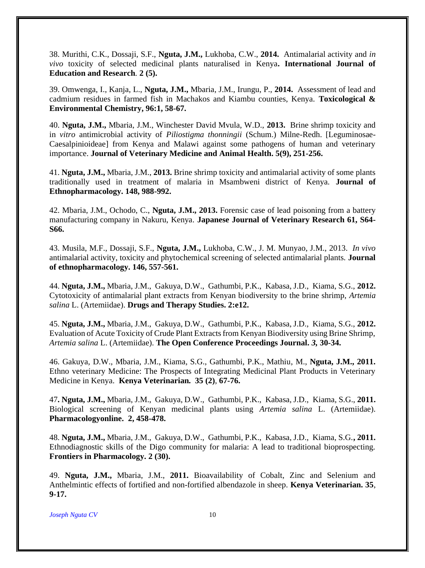38. Murithi, C.K., Dossaji, S.F., **Nguta, J.M.,** Lukhoba, C.W., **2014.** Antimalarial activity and *in vivo* toxicity of selected medicinal plants naturalised in Kenya**. International Journal of Education and Research***.* **2 (5).** 

39. Omwenga, I., Kanja, L., **Nguta, J.M.,** Mbaria, J.M., Irungu, P., **2014.** Assessment of lead and cadmium residues in farmed fish in Machakos and Kiambu counties, Kenya. **Toxicological & Environmental Chemistry, 96:1, 58-67.**

40. **Nguta, J.M.,** Mbaria, J.M., Winchester David Mvula, W.D., **2013.** Brine shrimp toxicity and in *vitro* antimicrobial activity of *Piliostigma thonningii* (Schum.) Milne-Redh. [Leguminosae-Caesalpinioideae] from Kenya and Malawi against some pathogens of human and veterinary importance. **Journal of Veterinary Medicine and Animal Health. 5(9), 251-256.**

41. **Nguta, J.M.,** Mbaria, J.M., **2013.** Brine shrimp toxicity and antimalarial activity of some plants traditionally used in treatment of malaria in Msambweni district of Kenya. **Journal of Ethnopharmacology. 148, 988-992.** 

42. Mbaria, J.M., Ochodo, C., **Nguta, J.M., 2013.** Forensic case of lead poisoning from a battery manufacturing company in Nakuru, Kenya. **Japanese Journal of Veterinary Research 61, S64- S66.** 

43. Musila, M.F., Dossaji, S.F., **Nguta, J.M.,** Lukhoba, C.W., J. M. Munyao, J.M., 2013. *In vivo* antimalarial activity, toxicity and phytochemical screening of selected antimalarial plants. **Journal of ethnopharmacology. 146, 557-561.** 

44. **Nguta, J.M.,** Mbaria, J.M., Gakuya, D.W., Gathumbi, P.K., Kabasa, J.D., Kiama, S.G., **2012.** Cytotoxicity of antimalarial plant extracts from Kenyan biodiversity to the brine shrimp, *Artemia salina* L. (Artemiidae). **Drugs and Therapy Studies. 2:e12.**

45. **Nguta, J.M.,** Mbaria, J.M., Gakuya, D.W., Gathumbi, P.K., Kabasa, J.D., Kiama, S.G., **2012.**  Evaluation of Acute Toxicity of Crude Plant Extracts from Kenyan Biodiversity using Brine Shrimp, *Artemia salina* L. (Artemiidae). **The Open Conference Proceedings Journal.** *3,* **30-34.**

46. Gakuya, D.W., Mbaria, J.M., Kiama, S.G., Gathumbi, P.K., Mathiu, M., **Nguta, J.M., 2011.** Ethno veterinary Medicine: The Prospects of Integrating Medicinal Plant Products in Veterinary Medicine in Kenya. **Kenya Veterinarian. 35 (2)**, **67-76.**

47**. Nguta, J.M.,** Mbaria, J.M., Gakuya, D.W., Gathumbi, P.K., Kabasa, J.D., Kiama, S.G., **2011.**  Biological screening of Kenyan medicinal plants using *Artemia salina* L. (Artemiidae). **Pharmacologyonline. 2, 458-478.**

48. **Nguta, J.M.,** Mbaria, J.M., Gakuya, D.W., Gathumbi, P.K., Kabasa, J.D., Kiama, S.G.**, 2011.**  Ethnodiagnostic skills of the Digo community for malaria: A lead to traditional bioprospecting. **Frontiers in Pharmacology. 2 (30).** 

49. **Nguta, J.M.,** Mbaria, J.M., **2011.** Bioavailability of Cobalt, Zinc and Selenium and Anthelmintic effects of fortified and non-fortified albendazole in sheep. **Kenya Veterinarian. 35**, **9-17.**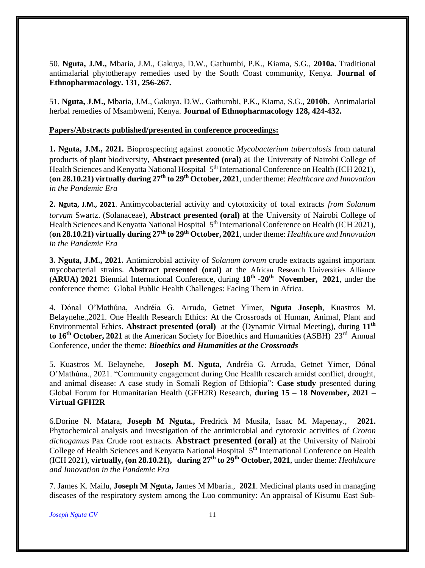50. **Nguta, J.M.,** Mbaria, J.M., Gakuya, D.W., Gathumbi, P.K., Kiama, S.G., **2010a.** Traditional antimalarial phytotherapy remedies used by the South Coast community, Kenya. **Journal of Ethnopharmacology. 131, 256-267.**

51. **Nguta, J.M.,** Mbaria, J.M., Gakuya, D.W., Gathumbi, P.K., Kiama, S.G., **2010b.** Antimalarial herbal remedies of Msambweni, Kenya. **Journal of Ethnopharmacology 128, 424-432.**

#### **Papers/Abstracts published/presented in conference proceedings:**

**1. Nguta, J.M., 2021.** Bioprospecting against zoonotic *Mycobacterium tuberculosis* from natural products of plant biodiversity, **Abstract presented (oral)** at the University of Nairobi College of Health Sciences and Kenyatta National Hospital 5<sup>th</sup> International Conference on Health (ICH 2021), (**on 28.10.21) virtually during 27th to 29th October, 2021**, under theme: *Healthcare and Innovation in the Pandemic Era*

**2. Nguta, J.M., 2021**. Antimycobacterial activity and cytotoxicity of total extracts *from Solanum torvum* Swartz. (Solanaceae), **Abstract presented (oral)** at the University of Nairobi College of Health Sciences and Kenyatta National Hospital 5<sup>th</sup> International Conference on Health (ICH 2021), (**on 28.10.21) virtually during 27th to 29th October, 2021**, under theme: *Healthcare and Innovation in the Pandemic Era*

**3. Nguta, J.M., 2021.** Antimicrobial activity of *Solanum torvum* crude extracts against important mycobacterial strains. **Abstract presented (oral)** at the African Research Universities Alliance **(ARUA) 2021** Biennial International Conference, during **18th -20th November, 2021**, under the conference theme: Global Public Health Challenges: Facing Them in Africa.

4. Dónal O'Mathúna, Andréia G. Arruda, Getnet Yimer, **Nguta Joseph**, Kuastros M. Belaynehe.,2021. One Health Research Ethics: At the Crossroads of Human, Animal, Plant and Environmental Ethics. **Abstract presented (oral)** at the (Dynamic Virtual Meeting), during **11th**  to 16<sup>th</sup> October, 2021 at the American Society for Bioethics and Humanities (ASBH) 23<sup>rd</sup> Annual Conference, under the theme: *Bioethics and Humanities at the Crossroads*

5. Kuastros M. Belaynehe, **Joseph M. Nguta**, Andréia G. Arruda, Getnet Yimer, Dónal O'Mathúna., 2021. "Community engagement during One Health research amidst conflict, drought, and animal disease: A case study in Somali Region of Ethiopia": **Case study** presented during Global Forum for Humanitarian Health (GFH2R) Research, **during 15 – 18 November, 2021 – Virtual GFH2R**

6.Dorine N. Matara, **Joseph M Nguta.,** Fredrick M Musila, Isaac M. Mapenay., **2021.** Phytochemical analysis and investigation of the antimicrobial and cytotoxic activities of *Croton dichogamus* Pax Crude root extracts. **Abstract presented (oral)** at the University of Nairobi College of Health Sciences and Kenyatta National Hospital 5<sup>th</sup> International Conference on Health (ICH 2021), **virtually, (on 28.10.21), during 27th to 29th October, 2021**, under theme: *Healthcare and Innovation in the Pandemic Era*

7. James K. Mailu, **Joseph M Nguta,** James M Mbaria., **2021**. Medicinal plants used in managing diseases of the respiratory system among the Luo community: An appraisal of Kisumu East Sub-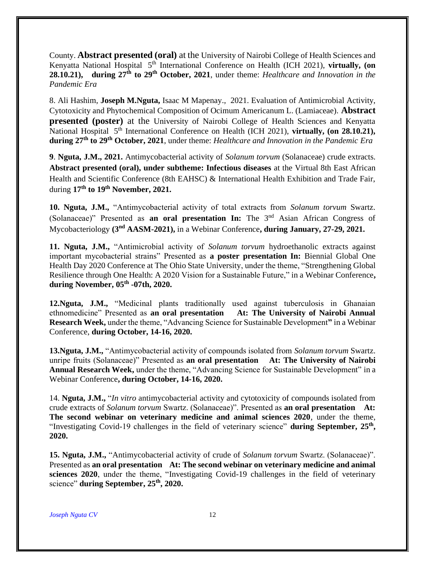County. **Abstract presented (oral)** at the University of Nairobi College of Health Sciences and Kenyatta National Hospital 5<sup>th</sup> International Conference on Health (ICH 2021), **virtually, (on 28.10.21), during 27th to 29th October, 2021**, under theme: *Healthcare and Innovation in the Pandemic Era*

8. Ali Hashim, **Joseph M.Nguta,** Isaac M Mapenay., 2021. Evaluation of Antimicrobial Activity, Cytotoxicity and Phytochemical Composition of Ocimum Americanum L. (Lamiaceae). **Abstract presented (poster)** at the University of Nairobi College of Health Sciences and Kenyatta National Hospital 5<sup>th</sup> International Conference on Health (ICH 2021), **virtually, (on 28.10.21), during 27th to 29th October, 2021**, under theme: *Healthcare and Innovation in the Pandemic Era*

**9**. **Nguta, J.M., 2021.** Antimycobacterial activity of *Solanum torvum* (Solanaceae) crude extracts. **Abstract presented (oral), under subtheme: Infectious diseases** at the Virtual 8th East African Health and Scientific Conference (8th EAHSC) & International Health Exhibition and Trade Fair, during **17th to 19th November, 2021.** 

**10. Nguta, J.M.,** "Antimycobacterial activity of total extracts from *Solanum torvum* Swartz. (Solanaceae)" Presented as **an oral presentation In:** The 3nd Asian African Congress of Mycobacteriology **(3nd AASM-2021),** in a Webinar Conference**, during January, 27-29, 2021.**

**11. Nguta, J.M.,** "Antimicrobial activity of *Solanum torvum* hydroethanolic extracts against important mycobacterial strains" Presented as **a poster presentation In:** Biennial Global One Health Day 2020 Conference at The Ohio State University, under the theme, "Strengthening Global Resilience through One Health: A 2020 Vision for a Sustainable Future," in a Webinar Conference**, during November, 05th -07th, 2020.** 

**12.Nguta, J.M.,** "Medicinal plants traditionally used against tuberculosis in Ghanaian ethnomedicine" Presented as **an oral presentation At: The University of Nairobi Annual Research Week,** under the theme, "Advancing Science for Sustainable Development**"** in a Webinar Conference, **during October, 14-16, 2020.**

**13.Nguta, J.M.,** "Antimycobacterial activity of compounds isolated from *Solanum torvum* Swartz. unripe fruits (Solanaceae)" Presented as **an oral presentation At: The University of Nairobi Annual Research Week,** under the theme, "Advancing Science for Sustainable Development" in a Webinar Conference**, during October, 14-16, 2020.**

14. **Nguta, J.M.,** "*In vitro* antimycobacterial activity and cytotoxicity of compounds isolated from crude extracts of *Solanum torvum* Swartz. (Solanaceae)". Presented as **an oral presentation At: The second webinar on veterinary medicine and animal sciences 2020**, under the theme, "Investigating Covid-19 challenges in the field of veterinary science" during September, 25<sup>th</sup>, **2020.**

**15. Nguta, J.M.,** "Antimycobacterial activity of crude of *Solanum torvum* Swartz. (Solanaceae)". Presented as **an oral presentation At: The second webinar on veterinary medicine and animal sciences 2020**, under the theme, "Investigating Covid-19 challenges in the field of veterinary science" **during September, 25 th , 2020.**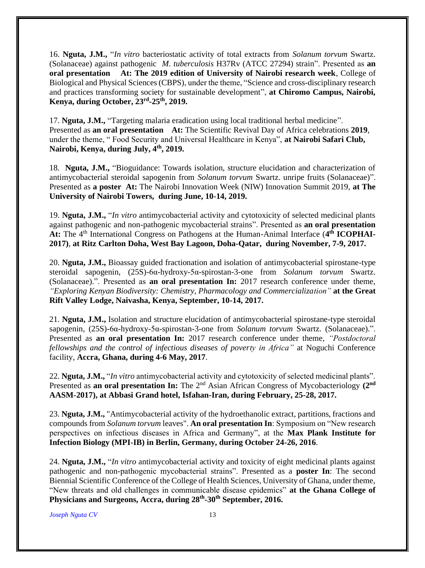16. **Nguta, J.M.,** "*In vitro* bacteriostatic activity of total extracts from *Solanum torvum* Swartz. (Solanaceae) against pathogenic *M. tuberculosis* H37Rv (ATCC 27294) strain". Presented as **an oral presentation At: The 2019 edition of University of Nairobi research week**, College of Biological and Physical Sciences (CBPS), under the theme, "Science and cross-disciplinary research and practices transforming society for sustainable development", **at Chiromo Campus, Nairobi, Kenya, during October, 23rd -25th , 2019.**

17. **Nguta, J.M.,** "Targeting malaria eradication using local traditional herbal medicine". Presented as **an oral presentation At:** The Scientific Revival Day of Africa celebrations **2019**, under the theme, " Food Security and Universal Healthcare in Kenya", **at Nairobi Safari Club, Nairobi, Kenya, during July, 4th, 2019.** 

18. **Nguta, J.M.,** "Bioguidance: Towards isolation, structure elucidation and characterization of antimycobacterial steroidal sapogenin from *Solanum torvum* Swartz. unripe fruits (Solanaceae)". Presented as **a poster At:** The Nairobi Innovation Week (NIW) Innovation Summit 2019, **at The University of Nairobi Towers, during June, 10-14, 2019.** 

19. **Nguta, J.M.,** "*In vitro* antimycobacterial activity and cytotoxicity of selected medicinal plants against pathogenic and non-pathogenic mycobacterial strains". Presented as **an oral presentation**  At: The 4<sup>th</sup> International Congress on Pathogens at the Human-Animal Interface (4<sup>th</sup> ICOPHAI-**2017)**, **at Ritz Carlton Doha, West Bay Lagoon, Doha-Qatar, during November, 7-9, 2017.** 

20. **Nguta, J.M.,** Bioassay guided fractionation and isolation of antimycobacterial spirostane-type steroidal sapogenin, (25S)-6α-hydroxy-5α-spirostan-3-one from *Solanum torvum* Swartz. (Solanaceae).". Presented as **an oral presentation In:** 2017 research conference under theme, *"Exploring Kenyan Biodiversity: Chemistry, Pharmacology and Commercialization"* **at the Great Rift Valley Lodge, Naivasha, Kenya, September, 10-14, 2017.** 

21. **Nguta, J.M.,** Isolation and structure elucidation of antimycobacterial spirostane-type steroidal sapogenin, (25S)-6α-hydroxy-5α-spirostan-3-one from *Solanum torvum* Swartz. (Solanaceae).". Presented as **an oral presentation In:** 2017 research conference under theme, *"Postdoctoral fellowships and the control of infectious diseases of poverty in Africa"* at Noguchi Conference facility, **Accra, Ghana, during 4-6 May, 2017**.

22. **Nguta, J.M.,** "*In vitro* antimycobacterial activity and cytotoxicity of selected medicinal plants". Presented as **an oral presentation In:** The 2<sup>nd</sup> Asian African Congress of Mycobacteriology (2<sup>nd</sup> **AASM-2017), at Abbasi Grand hotel, Isfahan-Iran, during February, 25-28, 2017.**

23. **Nguta, J.M.,** "Antimycobacterial activity of the hydroethanolic extract, partitions, fractions and compounds from *Solanum torvum* leaves". **An oral presentation In**: Symposium on "New research perspectives on infectious diseases in Africa and Germany", at the **Max Plank Institute for Infection Biology (MPI-IB) in Berlin, Germany, during October 24-26, 2016**.

24. **Nguta, J.M.,** "*In vitro* antimycobacterial activity and toxicity of eight medicinal plants against pathogenic and non-pathogenic mycobacterial strains". Presented as a **poster In**: The second Biennial Scientific Conference of the College of Health Sciences, University of Ghana, under theme, "New threats and old challenges in communicable disease epidemics" **at the Ghana College of Physicians and Surgeons, Accra, during 28th -30th September, 2016.**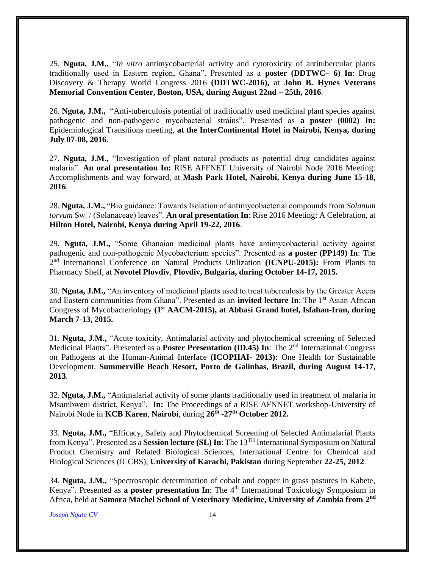25. **Nguta, J.M.,** "*In vitro* antimycobacterial activity and cytotoxicity of antitubercular plants traditionally used in Eastern region, Ghana". Presented as a **poster (DDTWC– 6) In**: Drug Discovery & Therapy World Congress 2016 **(DDTWC-2016),** at **John B. Hynes Veterans Memorial Convention Center, Boston, USA, during August 22nd – 25th, 2016**.

26. **Nguta, J.M.,** "Anti-tuberculosis potential of traditionally used medicinal plant species against pathogenic and non-pathogenic mycobacterial strains". Presented as **a poster (0002) In:**  Epidemiological Transitions meeting, **at the InterContinental Hotel in Nairobi, Kenya, during July 07-08, 2016**.

27. **Nguta, J.M.,** "Investigation of plant natural products as potential drug candidates against malaria". **An oral presentation In:** RISE AFFNET University of Nairobi Node 2016 Meeting: Accomplishments and way forward, at **Mash Park Hotel, Nairobi, Kenya during June 15-18, 2016**.

28. **Nguta, J.M.,** "Bio guidance: Towards Isolation of antimycobacterial compounds from *Solanum torvum* Sw. / (Solanaceae) leaves". **An oral presentation In**: Rise 2016 Meeting: A Celebration, at **Hilton Hotel, Nairobi, Kenya during April 19-22, 2016**.

29. **Nguta, J.M.,** "Some Ghanaian medicinal plants have antimycobacterial activity against pathogenic and non-pathogenic Mycobacterium species". Presented as **a poster (PP149) In**: The 2 nd International Conference on Natural Products Utilization **(ICNPU-2015):** From Plants to Pharmacy Shelf, at **Novotel Plovdiv**, **Plovdiv, Bulgaria, during October 14-17, 2015.**

30. **Nguta, J.M.,** "An inventory of medicinal plants used to treat tuberculosis by the Greater Accra and Eastern communities from Ghana". Presented as an **invited lecture In**: The 1<sup>st</sup> Asian African Congress of Mycobacteriology **(1st AACM-2015), at Abbasi Grand hotel, Isfahan-Iran, during March 7-13, 2015.**

31. **Nguta, J.M.,** "Acute toxicity, Antimalarial activity and phytochemical screening of Selected Medicinal Plants". Presented as a **Poster Presentation (ID.45) In**: The 2<sup>nd</sup> International Congress on Pathogens at the Human-Animal Interface **(ICOPHAI- 2013):** One Health for Sustainable Development, **Summerville Beach Resort, Porto de Galinhas, Brazil, during August 14-17, 2013**.

32. **Nguta, J.M.,** "Antimalarial activity of some plants traditionally used in treatment of malaria in Msambweni district, Kenya". **In:** The Proceedings of a RISE AFNNET workshop-University of Nairobi Node in **KCB Karen**, **Nairobi**, during **26th -27th October 2012.**

33. **Nguta, J.M.,** "Efficacy, Safety and Phytochemical Screening of Selected Antimalarial Plants from Kenya". Presented as a **Session lecture (SL) In**: The 13TH International Symposium on Natural Product Chemistry and Related Biological Sciences, International Centre for Chemical and Biological Sciences (ICCBS), **University of Karachi, Pakistan** during September **22-25, 2012**.

34. **Nguta, J.M.,** "Spectroscopic determination of cobalt and copper in grass pastures in Kabete, Kenya". Presented as **a poster presentation In**: The 4<sup>th</sup> International Toxicology Symposium in Africa, held at Samora Machel School of Veterinary Medicine, University of Zambia from 2<sup>nd</sup>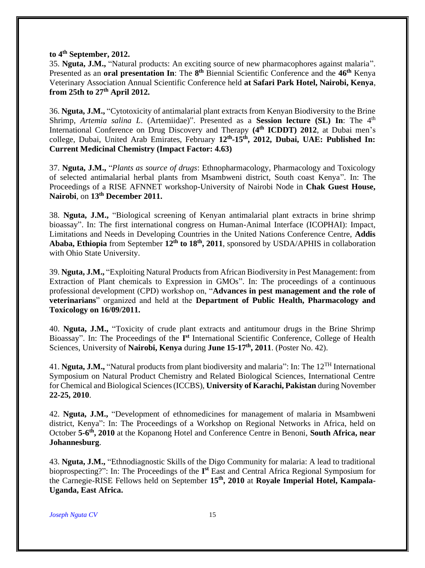#### **to 4th September, 2012.**

35. **Nguta, J.M.,** "Natural products: An exciting source of new pharmacophores against malaria". Presented as an **oral presentation In**: The  $8^{th}$  Biennial Scientific Conference and the  $46^{th}$  Kenya Veterinary Association Annual Scientific Conference held **at Safari Park Hotel, Nairobi, Kenya**, **from 25th to 27th April 2012.**

36. **Nguta, J.M.,** "Cytotoxicity of antimalarial plant extracts from Kenyan Biodiversity to the Brine Shrimp, *Artemia salina L.* (Artemiidae)". Presented as a **Session lecture (SL) In**: The 4<sup>th</sup> International Conference on Drug Discovery and Therapy **(4th ICDDT) 2012**, at Dubai men's college, Dubai, United Arab Emirates, February **12th -15th, 2012, Dubai, UAE: Published In: Current Medicinal Chemistry (Impact Factor: 4.63)**

37. **Nguta, J.M.,** "*Plants as source of drugs*: Ethnopharmacology, Pharmacology and Toxicology of selected antimalarial herbal plants from Msambweni district, South coast Kenya". In: The Proceedings of a RISE AFNNET workshop-University of Nairobi Node in **Chak Guest House, Nairobi**, on **13th December 2011.**

38. **Nguta, J.M.,** "Biological screening of Kenyan antimalarial plant extracts in brine shrimp bioassay". In: The first international congress on Human-Animal Interface (ICOPHAI): Impact, Limitations and Needs in Developing Countries in the United Nations Conference Centre, **Addis Ababa, Ethiopia** from September **12th to 18th, 2011**, sponsored by USDA/APHIS in collaboration with Ohio State University.

39. **Nguta, J.M.,** "Exploiting Natural Products from African Biodiversity in Pest Management: from Extraction of Plant chemicals to Expression in GMOs". In: The proceedings of a continuous professional development (CPD) workshop on, "**Advances in pest management and the role of veterinarians**" organized and held at the **Department of Public Health, Pharmacology and Toxicology on 16/09/2011.**

40. **Nguta, J.M.,** "Toxicity of crude plant extracts and antitumour drugs in the Brine Shrimp Bioassay". In: The Proceedings of the **I st** International Scientific Conference, College of Health Sciences, University of **Nairobi, Kenya** during **June 15-17th, 2011**. (Poster No. 42).

41. **Nguta, J.M.,** "Natural products from plant biodiversity and malaria": In: The 12TH International Symposium on Natural Product Chemistry and Related Biological Sciences, International Centre for Chemical and Biological Sciences (ICCBS), **University of Karachi, Pakistan** during November **22-25, 2010**.

42. **Nguta, J.M.,** "Development of ethnomedicines for management of malaria in Msambweni district, Kenya": In: The Proceedings of a Workshop on Regional Networks in Africa, held on October 5-6<sup>th</sup>, 2010 at the Kopanong Hotel and Conference Centre in Benoni, South Africa, near **Johannesburg**.

43. **Nguta, J.M.,** "Ethnodiagnostic Skills of the Digo Community for malaria: A lead to traditional bioprospecting?": In: The Proceedings of the I<sup>st</sup> East and Central Africa Regional Symposium for the Carnegie-RISE Fellows held on September **15th, 2010** at **Royale Imperial Hotel, Kampala-Uganda, East Africa.**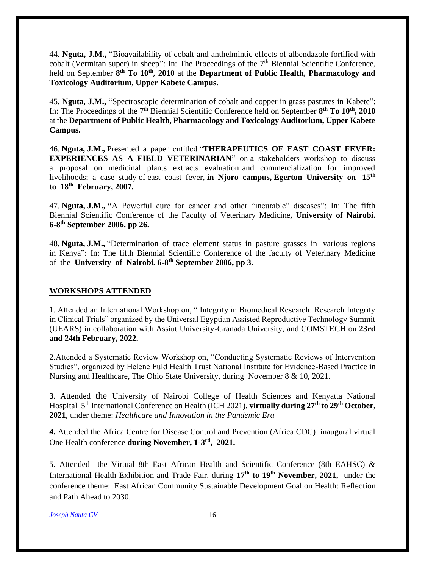44. **Nguta, J.M.,** "Bioavailability of cobalt and anthelmintic effects of albendazole fortified with cobalt (Vermitan super) in sheep": In: The Proceedings of the  $7<sup>th</sup>$  Biennial Scientific Conference, held on September **8 th To 10th , 2010** at the **Department of Public Health, Pharmacology and Toxicology Auditorium, Upper Kabete Campus.**

45. **Nguta, J.M.,** "Spectroscopic determination of cobalt and copper in grass pastures in Kabete": In: The Proceedings of the 7<sup>th</sup> Biennial Scientific Conference held on September 8<sup>th</sup> To 10<sup>th</sup>, 2010 at the **Department of Public Health, Pharmacology and Toxicology Auditorium, Upper Kabete Campus.**

46. **Nguta, J.M.,** Presented a paper entitled "**THERAPEUTICS OF EAST COAST FEVER: EXPERIENCES AS A FIELD VETERINARIAN**" on a stakeholders workshop to discuss a proposal on medicinal plants extracts evaluation and commercialization for improved livelihoods; a case study of east coast fever, in Njoro campus, Egerton University on 15<sup>th</sup> **to 18th February, 2007.**

47. **Nguta, J.M., "**A Powerful cure for cancer and other "incurable" diseases": In: The fifth Biennial Scientific Conference of the Faculty of Veterinary Medicine**, University of Nairobi. 6-8 th September 2006. pp 26.**

48. **Nguta, J.M.,** "Determination of trace element status in pasture grasses in various regions in Kenya": In: The fifth Biennial Scientific Conference of the faculty of Veterinary Medicine of the **University of Nairobi. 6-8<sup>th</sup> September 2006, pp 3.** 

## **WORKSHOPS ATTENDED**

1. Attended an International Workshop on, " Integrity in Biomedical Research: Research Integrity in Clinical Trials" organized by the Universal Egyptian Assisted Reproductive Technology Summit (UEARS) in collaboration with Assiut University-Granada University, and COMSTECH on **23rd and 24th February, 2022.**

2.Attended a Systematic Review Workshop on, "Conducting Systematic Reviews of Intervention Studies", organized by Helene Fuld Health Trust National Institute for Evidence-Based Practice in Nursing and Healthcare, The Ohio State University, during November 8 & 10, 2021.

**3.** Attended the University of Nairobi College of Health Sciences and Kenyatta National Hospital 5 th International Conference on Health (ICH 2021), **virtually during 27th to 29th October, 2021**, under theme: *Healthcare and Innovation in the Pandemic Era*

**4.** Attended the Africa Centre for Disease Control and Prevention (Africa CDC) inaugural virtual One Health conference during November, 1-3<sup>rd</sup>, 2021.

**5**. Attended the Virtual 8th East African Health and Scientific Conference (8th EAHSC) & International Health Exhibition and Trade Fair, during **17th to 19th November, 2021,** under the conference theme: East African Community Sustainable Development Goal on Health: Reflection and Path Ahead to 2030.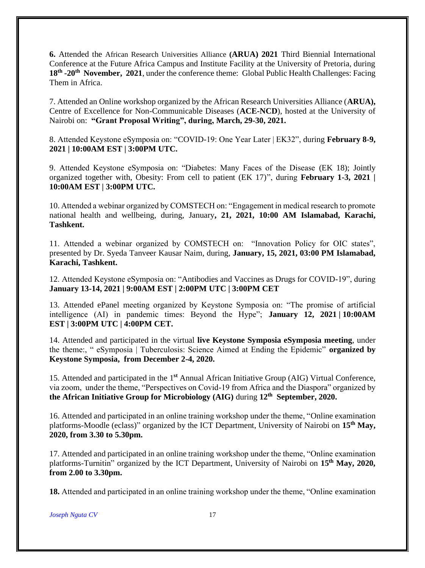**6.** Attended the African Research Universities Alliance **(ARUA) 2021** Third Biennial International Conference at the Future Africa Campus and Institute Facility at the University of Pretoria, during **18th -20th November, 2021**, under the conference theme: Global Public Health Challenges: Facing Them in Africa.

7. Attended an Online workshop organized by the African Research Universities Alliance (**ARUA),** Centre of Excellence for Non-Communicable Diseases (**ACE-NCD**), hosted at the University of Nairobi on: **"Grant Proposal Writing", during, March, 29-30, 2021.**

8. Attended Keystone eSymposia on: "COVID-19: One Year Later | EK32", during **February 8-9, 2021 | 10:00AM EST | 3:00PM UTC.** 

9. Attended Keystone eSymposia on: "Diabetes: Many Faces of the Disease (EK 18); Jointly organized together with, Obesity: From cell to patient (EK 17)", during **February 1-3, 2021 | 10:00AM EST | 3:00PM UTC.** 

10. Attended a webinar organized by COMSTECH on: "Engagement in medical research to promote national health and wellbeing, during, January**, 21, 2021, 10:00 AM Islamabad, Karachi, Tashkent.**

11. Attended a webinar organized by COMSTECH on: "Innovation Policy for OIC states", presented by Dr. Syeda Tanveer Kausar Naim, during, **January, 15, 2021, 03:00 PM Islamabad, Karachi, Tashkent.**

12. Attended Keystone eSymposia on: "Antibodies and Vaccines as Drugs for COVID-19", during **January 13-14, 2021 | 9:00AM EST | 2:00PM UTC | 3:00PM CET**

13. Attended ePanel meeting organized by Keystone Symposia on: "The promise of artificial intelligence (AI) in pandemic times: Beyond the Hype"; **January 12, 2021 | 10:00AM EST | 3:00PM UTC | 4:00PM CET.**

14. Attended and participated in the virtual **live Keystone Symposia eSymposia meeting**, under the theme:, " eSymposia | Tuberculosis: Science Aimed at Ending the Epidemic" **organized by Keystone Symposia, from December 2-4, 2020.**

15. Attended and participated in the 1 **st** Annual African Initiative Group (AIG) Virtual Conference, via zoom, under the theme, "Perspectives on Covid-19 from Africa and the Diaspora" organized by **the African Initiative Group for Microbiology (AIG)** during **12th September, 2020.**

16. Attended and participated in an online training workshop under the theme, "Online examination platforms-Moodle (eclass)" organized by the ICT Department, University of Nairobi on 15<sup>th</sup> May, **2020, from 3.30 to 5.30pm.**

17. Attended and participated in an online training workshop under the theme, "Online examination platforms-Turnitin" organized by the ICT Department, University of Nairobi on **15th May, 2020, from 2.00 to 3.30pm.**

**18.** Attended and participated in an online training workshop under the theme, "Online examination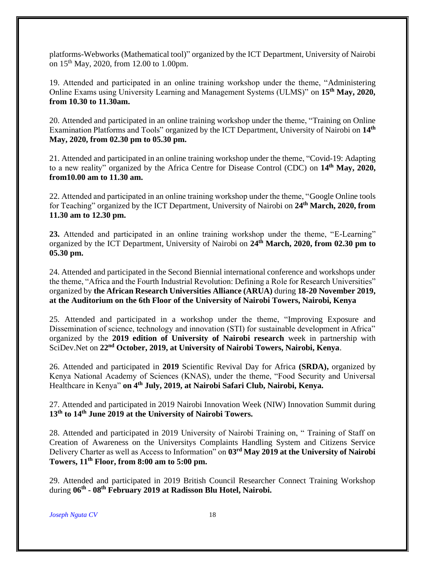platforms-Webworks (Mathematical tool)" organized by the ICT Department, University of Nairobi on 15<sup>th</sup> May, 2020, from 12.00 to 1.00pm.

19. Attended and participated in an online training workshop under the theme, "Administering Online Exams using University Learning and Management Systems (ULMS)" on **15th May, 2020, from 10.30 to 11.30am.**

20. Attended and participated in an online training workshop under the theme, "Training on Online Examination Platforms and Tools" organized by the ICT Department, University of Nairobi on 14<sup>th</sup> **May, 2020, from 02.30 pm to 05.30 pm.** 

21. Attended and participated in an online training workshop under the theme, "Covid-19: Adapting to a new reality" organized by the Africa Centre for Disease Control (CDC) on **14th May, 2020, from10.00 am to 11.30 am.** 

22. Attended and participated in an online training workshop under the theme, "Google Online tools for Teaching" organized by the ICT Department, University of Nairobi on **24th March, 2020, from 11.30 am to 12.30 pm.**

**23.** Attended and participated in an online training workshop under the theme, "E-Learning" organized by the ICT Department, University of Nairobi on **24th March, 2020, from 02.30 pm to 05.30 pm.**

24. Attended and participated in the Second Biennial international conference and workshops under the theme, "Africa and the Fourth Industrial Revolution: Defining a Role for Research Universities" organized by **the African Research Universities Alliance (ARUA)** during **18-20 November 2019, at the Auditorium on the 6th Floor of the University of Nairobi Towers, Nairobi, Kenya**

25. Attended and participated in a workshop under the theme, "Improving Exposure and Dissemination of science, technology and innovation (STI) for sustainable development in Africa" organized by the **2019 edition of University of Nairobi research** week in partnership with SciDev.Net on **22nd October, 2019, at University of Nairobi Towers, Nairobi, Kenya**.

26. Attended and participated in **2019** Scientific Revival Day for Africa **(SRDA),** organized by Kenya National Academy of Sciences (KNAS), under the theme, "Food Security and Universal Healthcare in Kenya" **on 4th July, 2019, at Nairobi Safari Club, Nairobi, Kenya.**

27. Attended and participated in 2019 Nairobi Innovation Week (NIW) Innovation Summit during **13th to 14th June 2019 at the University of Nairobi Towers.**

28. Attended and participated in 2019 University of Nairobi Training on, " Training of Staff on Creation of Awareness on the Universitys Complaints Handling System and Citizens Service Delivery Charter as well as Access to Information" on **03 rd May 2019 at the University of Nairobi Towers, 11th Floor, from 8:00 am to 5:00 pm.** 

29. Attended and participated in 2019 British Council Researcher Connect Training Workshop during **06th - 08 th February 2019 at Radisson Blu Hotel, Nairobi.**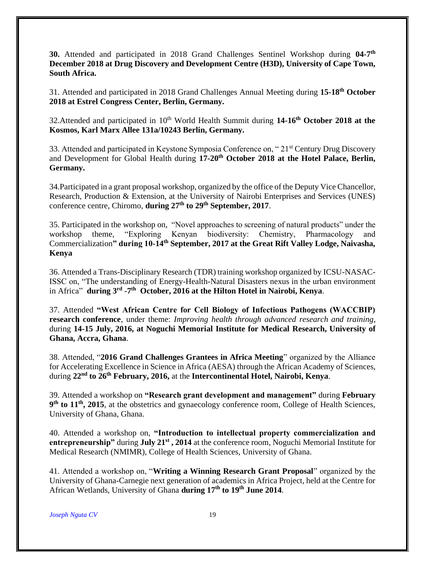**30.** Attended and participated in 2018 Grand Challenges Sentinel Workshop during **04-7 th December 2018 at Drug Discovery and Development Centre (H3D), University of Cape Town, South Africa.** 

31. Attended and participated in 2018 Grand Challenges Annual Meeting during **15-18th October 2018 at Estrel Congress Center, Berlin, Germany.**

32. Attended and participated in 10<sup>th</sup> World Health Summit during 14-16<sup>th</sup> October 2018 at the **Kosmos, Karl Marx Allee 131a/10243 Berlin, Germany.**

33. Attended and participated in Keystone Symposia Conference on, "21<sup>st</sup> Century Drug Discovery and Development for Global Health during **17-20th October 2018 at the Hotel Palace, Berlin, Germany.**

34.Participated in a grant proposal workshop, organized by the office of the Deputy Vice Chancellor, Research, Production & Extension, at the University of Nairobi Enterprises and Services (UNES) conference centre, Chiromo, **during 27th to 29th September, 2017**.

35. Participated in the workshop on, "Novel approaches to screening of natural products" under the workshop theme, "Exploring Kenyan biodiversity: Chemistry, Pharmacology and Commercialization**" during 10-14th September, 2017 at the Great Rift Valley Lodge, Naivasha, Kenya**

36. Attended a Trans-Disciplinary Research (TDR) training workshop organized by ICSU-NASAC-ISSC on, "The understanding of Energy-Health-Natural Disasters nexus in the urban environment in Africa" **during 3rd -7 th October, 2016 at the Hilton Hotel in Nairobi, Kenya**.

37. Attended **"West African Centre for Cell Biology of Infectious Pathogens (WACCBIP) research conference**, under theme: *Improving health through advanced research and training*, during **14-15 July, 2016, at Noguchi Memorial Institute for Medical Research, University of Ghana, Accra, Ghana**.

38. Attended, "**2016 Grand Challenges Grantees in Africa Meeting**" organized by the Alliance for Accelerating Excellence in Science in Africa (AESA) through the African Academy of Sciences, during **22nd to 26th February, 2016,** at the **Intercontinental Hotel, Nairobi, Kenya**.

39. Attended a workshop on **"Research grant development and management"** during **February 9 th to 11th, 2015**, at the obstetrics and gynaecology conference room, College of Health Sciences, University of Ghana, Ghana.

40. Attended a workshop on, **"Introduction to intellectual property commercialization and entrepreneurship"** during **July 21st , 2014** at the conference room, Noguchi Memorial Institute for Medical Research (NMIMR), College of Health Sciences, University of Ghana.

41. Attended a workshop on, "**Writing a Winning Research Grant Proposal**" organized by the University of Ghana-Carnegie next generation of academics in Africa Project, held at the Centre for African Wetlands, University of Ghana **during 17th to 19th June 2014**.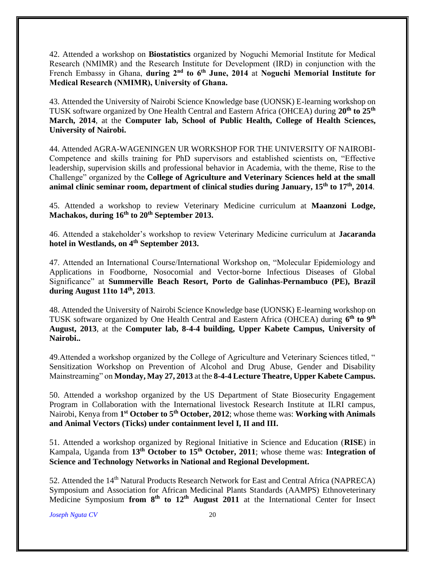42. Attended a workshop on **Biostatistics** organized by Noguchi Memorial Institute for Medical Research (NMIMR) and the Research Institute for Development (IRD) in conjunction with the French Embassy in Ghana, **during 2nd to 6th June, 2014** at **Noguchi Memorial Institute for Medical Research (NMIMR), University of Ghana.**

43. Attended the University of Nairobi Science Knowledge base (UONSK) E-learning workshop on TUSK software organized by One Health Central and Eastern Africa (OHCEA) during **20th to 25th March, 2014**, at the **Computer lab, School of Public Health, College of Health Sciences, University of Nairobi.**

44. Attended AGRA-WAGENINGEN UR WORKSHOP FOR THE UNIVERSITY OF NAIROBI-Competence and skills training for PhD supervisors and established scientists on, "Effective leadership, supervision skills and professional behavior in Academia, with the theme, Rise to the Challenge" organized by the **College of Agriculture and Veterinary Sciences held at the small animal clinic seminar room, department of clinical studies during January, 15th to 17th, 2014**.

45. Attended a workshop to review Veterinary Medicine curriculum at **Maanzoni Lodge, Machakos, during 16th to 20th September 2013.**

46. Attended a stakeholder's workshop to review Veterinary Medicine curriculum at **Jacaranda hotel in Westlands, on 4th September 2013.**

47. Attended an International Course/International Workshop on, "Molecular Epidemiology and Applications in Foodborne, Nosocomial and Vector-borne Infectious Diseases of Global Significance" at **Summerville Beach Resort, Porto de Galinhas-Pernambuco (PE), Brazil during August 11to 14th, 2013**.

48. Attended the University of Nairobi Science Knowledge base (UONSK) E-learning workshop on TUSK software organized by One Health Central and Eastern Africa (OHCEA) during **6 th to 9th August, 2013**, at the **Computer lab, 8-4-4 building, Upper Kabete Campus, University of Nairobi..**

49.Attended a workshop organized by the College of Agriculture and Veterinary Sciences titled, " Sensitization Workshop on Prevention of Alcohol and Drug Abuse, Gender and Disability Mainstreaming" on **Monday, May 27, 2013** at the **8-4-4 Lecture Theatre, Upper Kabete Campus.**

50. Attended a workshop organized by the US Department of State Biosecurity Engagement Program in Collaboration with the International livestock Research Institute at ILRI campus, Nairobi, Kenya from **1 st October to 5th October, 2012**; whose theme was: **Working with Animals and Animal Vectors (Ticks) under containment level I, II and III.**

51. Attended a workshop organized by Regional Initiative in Science and Education (**RISE**) in Kampala, Uganda from **13th October to 15th October, 2011**; whose theme was: **Integration of Science and Technology Networks in National and Regional Development.**

52. Attended the 14<sup>th</sup> Natural Products Research Network for East and Central Africa (NAPRECA) Symposium and Association for African Medicinal Plants Standards (AAMPS) Ethnoveterinary Medicine Symposium **from 8th to 12th August 2011** at the International Center for Insect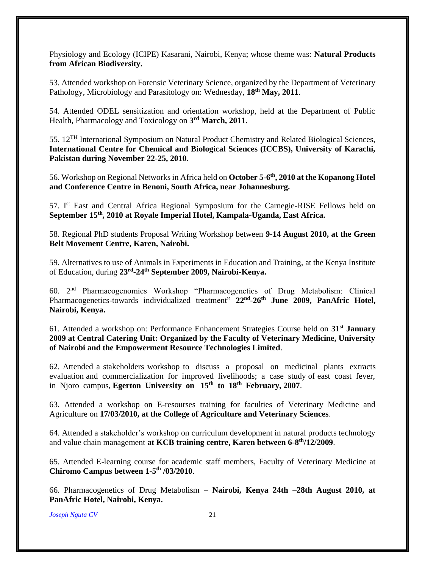Physiology and Ecology (ICIPE) Kasarani, Nairobi, Kenya; whose theme was: **Natural Products from African Biodiversity.**

53. Attended workshop on Forensic Veterinary Science, organized by the Department of Veterinary Pathology, Microbiology and Parasitology on: Wednesday, **18th May, 2011**.

54. Attended ODEL sensitization and orientation workshop, held at the Department of Public Health, Pharmacology and Toxicology on **3 rd March, 2011**.

55. 12TH International Symposium on Natural Product Chemistry and Related Biological Sciences, **International Centre for Chemical and Biological Sciences (ICCBS), University of Karachi, Pakistan during November 22-25, 2010.**

56. Workshop on Regional Networks in Africa held on **October 5-6 th, 2010 at the Kopanong Hotel and Conference Centre in Benoni, South Africa, near Johannesburg.**

57. Ist East and Central Africa Regional Symposium for the Carnegie-RISE Fellows held on **September 15th, 2010 at Royale Imperial Hotel, Kampala-Uganda, East Africa.**

58. Regional PhD students Proposal Writing Workshop between **9-14 August 2010, at the Green Belt Movement Centre, Karen, Nairobi.**

59. Alternatives to use of Animals in Experiments in Education and Training, at the Kenya Institute of Education, during **23rd -24th September 2009, Nairobi-Kenya.**

60. 2nd Pharmacogenomics Workshop "Pharmacogenetics of Drug Metabolism: Clinical Pharmacogenetics-towards individualized treatment" **22nd -26th June 2009, PanAfric Hotel, Nairobi, Kenya.**

61. Attended a workshop on: Performance Enhancement Strategies Course held on **31st January 2009 at Central Catering Unit: Organized by the Faculty of Veterinary Medicine, University of Nairobi and the Empowerment Resource Technologies Limited**.

62. Attended a stakeholders workshop to discuss a proposal on medicinal plants extracts evaluation and commercialization for improved livelihoods; a case study of east coast fever, in Njoro campus, **Egerton University on 15th to 18th February, 2007**.

63. Attended a workshop on E-resourses training for faculties of Veterinary Medicine and Agriculture on **17/03/2010, at the College of Agriculture and Veterinary Sciences**.

64. Attended a stakeholder's workshop on curriculum development in natural products technology and value chain management at KCB training centre, Karen between 6-8<sup>th</sup>/12/2009.

65. Attended E-learning course for academic staff members, Faculty of Veterinary Medicine at **Chiromo Campus between 1-5 th /03/2010**.

66. Pharmacogenetics of Drug Metabolism – **Nairobi, Kenya 24th –28th August 2010, at PanAfric Hotel, Nairobi, Kenya.**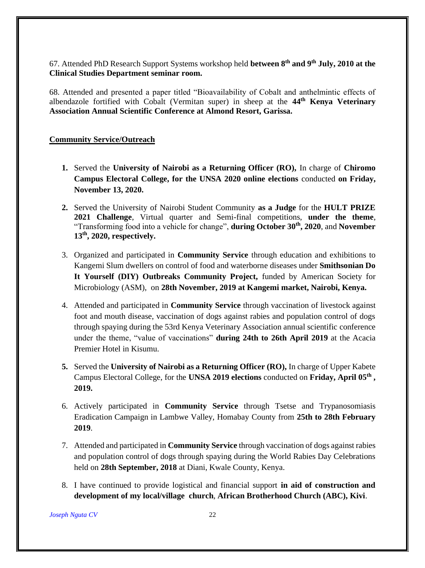67. Attended PhD Research Support Systems workshop held **between 8th and 9th July, 2010 at the Clinical Studies Department seminar room.** 

68. Attended and presented a paper titled "Bioavailability of Cobalt and anthelmintic effects of albendazole fortified with Cobalt (Vermitan super) in sheep at the **44th Kenya Veterinary Association Annual Scientific Conference at Almond Resort, Garissa.**

#### **Community Service/Outreach**

- **1.** Served the **University of Nairobi as a Returning Officer (RO),** In charge of **Chiromo Campus Electoral College, for the UNSA 2020 online elections** conducted **on Friday, November 13, 2020.**
- **2.** Served the University of Nairobi Student Community **as a Judge** for the **HULT PRIZE 2021 Challenge**, Virtual quarter and Semi-final competitions, **under the theme**, "Transforming food into a vehicle for change", **during October 30th, 2020**, and **November 13th, 2020, respectively.**
- 3. Organized and participated in **Community Service** through education and exhibitions to Kangemi Slum dwellers on control of food and waterborne diseases under **Smithsonian Do It Yourself (DIY) Outbreaks Community Project,** funded by American Society for Microbiology (ASM), on **28th November, 2019 at Kangemi market, Nairobi, Kenya.**
- 4. Attended and participated in **Community Service** through vaccination of livestock against foot and mouth disease, vaccination of dogs against rabies and population control of dogs through spaying during the 53rd Kenya Veterinary Association annual scientific conference under the theme, "value of vaccinations" **during 24th to 26th April 2019** at the Acacia Premier Hotel in Kisumu.
- **5.** Served the **University of Nairobi as a Returning Officer (RO),** In charge of Upper Kabete Campus Electoral College, for the **UNSA 2019 elections** conducted on **Friday, April 05th , 2019.**
- 6. Actively participated in **Community Service** through Tsetse and Trypanosomiasis Eradication Campaign in Lambwe Valley, Homabay County from **25th to 28th February 2019**.
- 7. Attended and participated in **Community Service** through vaccination of dogs against rabies and population control of dogs through spaying during the World Rabies Day Celebrations held on **28th September, 2018** at Diani, Kwale County, Kenya.
- 8. I have continued to provide logistical and financial support **in aid of construction and development of my local/village church**, **African Brotherhood Church (ABC), Kivi**.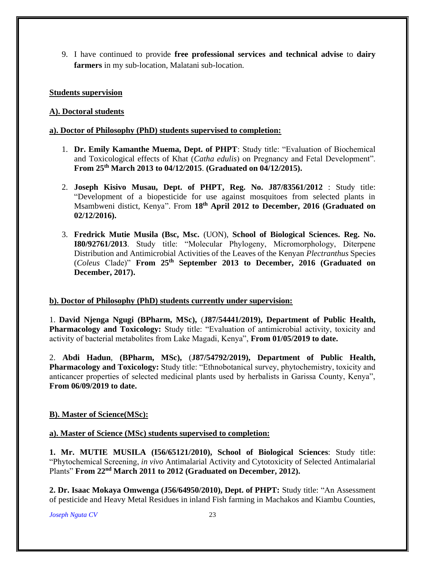9. I have continued to provide **free professional services and technical advise** to **dairy farmers** in my sub-location, Malatani sub-location.

#### **Students supervision**

#### **A). Doctoral students**

#### **a). Doctor of Philosophy (PhD) students supervised to completion:**

- 1. **Dr. Emily Kamanthe Muema, Dept. of PHPT**: Study title: "Evaluation of Biochemical and Toxicological effects of Khat (*Catha edulis*) on Pregnancy and Fetal Development". **From 25th March 2013 to 04/12/2015**. **(Graduated on 04/12/2015).**
- 2. **Joseph Kisivo Musau, Dept. of PHPT, Reg. No. J87/83561/2012** : Study title: "Development of a biopesticide for use against mosquitoes from selected plants in Msambweni distict, Kenya". From **18th April 2012 to December, 2016 (Graduated on 02/12/2016).**
- 3. **Fredrick Mutie Musila (Bsc, Msc.** (UON), **School of Biological Sciences. Reg. No. I80/92761/2013**. Study title: "Molecular Phylogeny, Micromorphology, Diterpene Distribution and Antimicrobial Activities of the Leaves of the Kenyan *Plectranthus* Species (*Coleus* Clade)" **From 25th September 2013 to December, 2016 (Graduated on December, 2017).**

#### **b). Doctor of Philosophy (PhD) students currently under supervision:**

1. **David Njenga Ngugi (BPharm, MSc),** (**J87/54441/2019), Department of Public Health, Pharmacology and Toxicology:** Study title: "Evaluation of antimicrobial activity, toxicity and activity of bacterial metabolites from Lake Magadi, Kenya", **From 01/05/2019 to date.**

2. **Abdi Hadun**, **(BPharm, MSc),** (**J87/54792/2019), Department of Public Health, Pharmacology and Toxicology:** Study title: "Ethnobotanical survey, phytochemistry, toxicity and anticancer properties of selected medicinal plants used by herbalists in Garissa County, Kenya", **From 06/09/2019 to date.**

## **B). Master of Science(MSc):**

#### **a). Master of Science (MSc) students supervised to completion:**

**1. Mr. MUTIE MUSILA (I56/65121/2010), School of Biological Sciences**: Study title: "Phytochemical Screening, *in vivo* Antimalarial Activity and Cytotoxicity of Selected Antimalarial Plants" **From 22nd March 2011 to 2012 (Graduated on December, 2012).**

**2. Dr. Isaac Mokaya Omwenga (J56/64950/2010), Dept. of PHPT:** Study title: "An Assessment of pesticide and Heavy Metal Residues in inland Fish farming in Machakos and Kiambu Counties,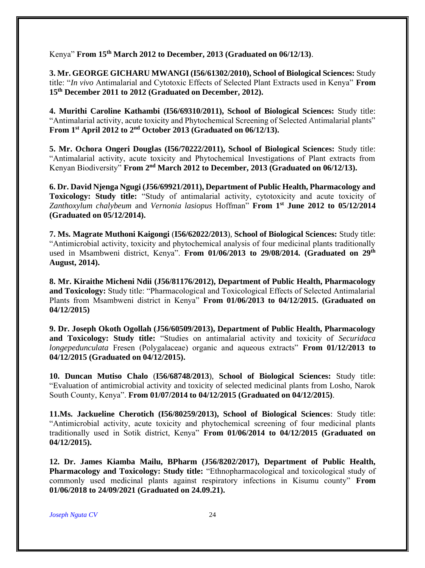Kenya" **From 15th March 2012 to December, 2013 (Graduated on 06/12/13)**.

**3. Mr. GEORGE GICHARU MWANGI (I56/61302/2010), School of Biological Sciences:** Study title: "*In vivo* Antimalarial and Cytotoxic Effects of Selected Plant Extracts used in Kenya" **From 15th December 2011 to 2012 (Graduated on December, 2012).**

**4. Murithi Caroline Kathambi (I56/69310/2011), School of Biological Sciences:** Study title: "Antimalarial activity, acute toxicity and Phytochemical Screening of Selected Antimalarial plants" From 1<sup>st</sup> April 2012 to 2<sup>nd</sup> October 2013 (Graduated on 06/12/13).

**5. Mr. Ochora Ongeri Douglas (I56/70222/2011), School of Biological Sciences:** Study title: "Antimalarial activity, acute toxicity and Phytochemical Investigations of Plant extracts from Kenyan Biodiversity" **From 2nd March 2012 to December, 2013 (Graduated on 06/12/13).**

**6. Dr. David Njenga Ngugi (J56/69921/2011), Department of Public Health, Pharmacology and Toxicology: Study title:** "Study of antimalarial activity, cytotoxicity and acute toxicity of *Zanthoxylum chalybeum* and *Vernonia lasiopus* Hoffman" **From 1st June 2012 to 05/12/2014 (Graduated on 05/12/2014).**

**7. Ms. Magrate Muthoni Kaigongi** (**I56/62022/2013**), **School of Biological Sciences:** Study title: "Antimicrobial activity, toxicity and phytochemical analysis of four medicinal plants traditionally used in Msambweni district, Kenya". **From 01/06/2013 to 29/08/2014. (Graduated on 29th August, 2014).** 

**8. Mr. Kiraithe Micheni Ndii (J56/81176/2012), Department of Public Health, Pharmacology and Toxicology:** Study title: "Pharmacological and Toxicological Effects of Selected Antimalarial Plants from Msambweni district in Kenya" **From 01/06/2013 to 04/12/2015. (Graduated on 04/12/2015)**

**9. Dr. Joseph Okoth Ogollah (J56/60509/2013), Department of Public Health, Pharmacology and Toxicology: Study title:** "Studies on antimalarial activity and toxicity of *Securidaca longepedunculata* Fresen (Polygalaceae) organic and aqueous extracts" **From 01/12/2013 to 04/12/2015 (Graduated on 04/12/2015).**

**10. Duncan Mutiso Chalo** (**I56/68748/2013**), **School of Biological Sciences:** Study title: "Evaluation of antimicrobial activity and toxicity of selected medicinal plants from Losho, Narok South County, Kenya". **From 01/07/2014 to 04/12/2015 (Graduated on 04/12/2015)**.

**11.Ms. Jackueline Cherotich (I56/80259/2013), School of Biological Sciences**: Study title: "Antimicrobial activity, acute toxicity and phytochemical screening of four medicinal plants traditionally used in Sotik district, Kenya" **From 01/06/2014 to 04/12/2015 (Graduated on 04/12/2015).**

**12. Dr. James Kiamba Mailu, BPharm (J56/8202/2017), Department of Public Health, Pharmacology and Toxicology: Study title:** "Ethnopharmacological and toxicological study of commonly used medicinal plants against respiratory infections in Kisumu county" **From 01/06/2018 to 24/09/2021 (Graduated on 24.09.21).**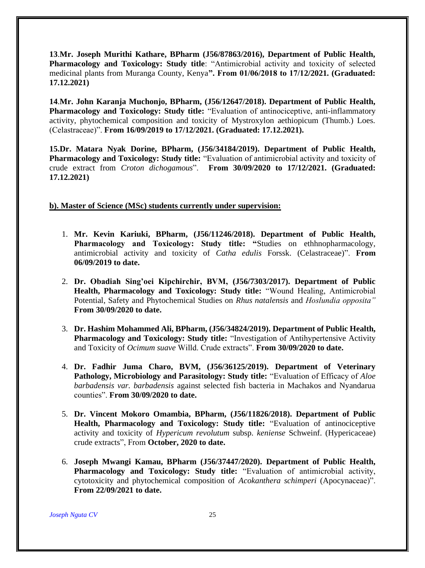**13**.**Mr. Joseph Murithi Kathare, BPharm (J56/87863/2016), Department of Public Health, Pharmacology and Toxicology: Study title**: "Antimicrobial activity and toxicity of selected medicinal plants from Muranga County, Kenya**". From 01/06/2018 to 17/12/2021. (Graduated: 17.12.2021)**

**14**.**Mr. John Karanja Muchonjo, BPharm, (J56/12647/2018). Department of Public Health, Pharmacology and Toxicology: Study title:** "Evaluation of antinociceptive, anti-inflammatory activity, phytochemical composition and toxicity of Mystroxylon aethiopicum (Thumb.) Loes. (Celastraceae)". **From 16/09/2019 to 17/12/2021. (Graduated: 17.12.2021).**

**15.Dr. Matara Nyak Dorine, BPharm, (J56/34184/2019). Department of Public Health, Pharmacology and Toxicology: Study title:** "Evaluation of antimicrobial activity and toxicity of crude extract from *Croton dichogamous*". **From 30/09/2020 to 17/12/2021. (Graduated: 17.12.2021)**

#### **b). Master of Science (MSc) students currently under supervision:**

- 1. **Mr. Kevin Kariuki, BPharm, (J56/11246/2018). Department of Public Health, Pharmacology and Toxicology: Study title: "**Studies on ethhnopharmacology, antimicrobial activity and toxicity of *Catha edulis* Forssk. (Celastraceae)". **From 06/09/2019 to date.**
- 2. **Dr. Obadiah Sing'oei Kipchirchir, BVM, (J56/7303/2017). Department of Public Health, Pharmacology and Toxicology: Study title:** "Wound Healing, Antimicrobial Potential, Safety and Phytochemical Studies on *Rhus natalensis* and *Hoslundia opposita"* **From 30/09/2020 to date.**
- 3. **Dr. Hashim Mohammed Ali, BPharm, (J56/34824/2019). Department of Public Health, Pharmacology and Toxicology: Study title:** "Investigation of Antihypertensive Activity and Toxicity of *Ocimum suave* Willd. Crude extracts". **From 30/09/2020 to date.**
- 4. **Dr. Fadhir Juma Charo, BVM, (J56/36125/2019). Department of Veterinary Pathology, Microbiology and Parasitology: Study title:** "Evaluation of Efficacy of *Aloe barbadensis var. barbadensis* against selected fish bacteria in Machakos and Nyandarua counties". **From 30/09/2020 to date.**
- 5. **Dr. Vincent Mokoro Omambia, BPharm, (J56/11826/2018). Department of Public Health, Pharmacology and Toxicology: Study title:** "Evaluation of antinociceptive activity and toxicity of *Hypericum revolutum* subsp. *keniense* Schweinf. (Hypericaceae) crude extracts", From **October, 2020 to date.**
- 6. **Joseph Mwangi Kamau, BPharm (J56/37447/2020). Department of Public Health, Pharmacology and Toxicology: Study title:** "Evaluation of antimicrobial activity, cytotoxicity and phytochemical composition of *Acokanthera schimperi* (Apocynaceae)". **From 22/09/2021 to date.**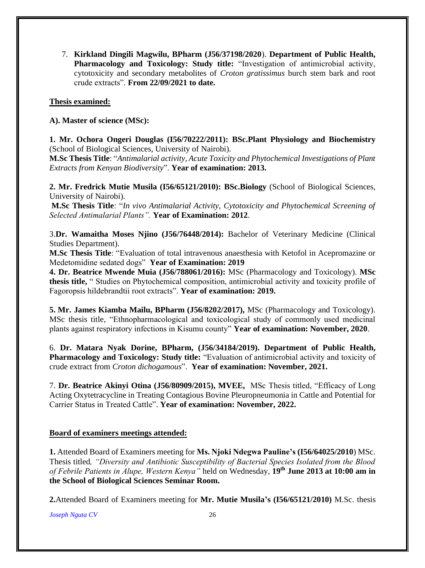7. **Kirkland Dingili Magwilu, BPharm (J56/37198/2020**). **Department of Public Health, Pharmacology and Toxicology: Study title:** "Investigation of antimicrobial activity, cytotoxicity and secondary metabolites of *Croton gratissimus* burch stem bark and root crude extracts". **From 22/09/2021 to date.**

#### **Thesis examined:**

**A). Master of science (MSc):**

**1. Mr. Ochora Ongeri Douglas (I56/70222/2011): BSc.Plant Physiology and Biochemistry**  (School of Biological Sciences, University of Nairobi).

**M.Sc Thesis Title**: "*Antimalarial activity, Acute Toxicity and Phytochemical Investigations of Plant Extracts from Kenyan Biodiversity*". **Year of examination: 2013.**

**2. Mr. Fredrick Mutie Musila (I56/65121/2010): BSc.Biology** (School of Biological Sciences, University of Nairobi).

**M.Sc Thesis Title**: "*In vivo Antimalarial Activity, Cytotoxicity and Phytochemical Screening of Selected Antimalarial Plants".* **Year of Examination: 2012**.

3.**Dr. Wamaitha Moses Njino (J56/76448/2014):** Bachelor of Veterinary Medicine (Clinical Studies Department).

**M.Sc Thesis Title**: "Evaluation of total intravenous anaesthesia with Ketofol in Acepromazine or Medetomidine sedated dogs" **Year of Examination: 2019**

**4. Dr. Beatrice Mwende Muia (J56/788061/2016):** MSc (Pharmacology and Toxicology). **MSc thesis title,** " Studies on Phytochemical composition, antimicrobial activity and toxicity profile of Fagoropsis hildebrandtii root extracts". **Year of examination: 2019.**

**5. Mr. James Kiamba Mailu, BPharm (J56/8202/2017),** MSc (Pharmacology and Toxicology). MSc thesis title, "Ethnopharmacological and toxicological study of commonly used medicinal plants against respiratory infections in Kisumu county" **Year of examination: November, 2020**.

6. **Dr. Matara Nyak Dorine, BPharm, (J56/34184/2019). Department of Public Health, Pharmacology and Toxicology: Study title:** "Evaluation of antimicrobial activity and toxicity of crude extract from *Croton dichogamous*". **Year of examination: November, 2021.**

7. **Dr. Beatrice Akinyi Otina (J56/80909/2015), MVEE,** MSc Thesis titled, "Efficacy of Long Acting Oxytetracycline in Treating Contagious Bovine Pleuropneumonia in Cattle and Potential for Carrier Status in Treated Cattle". **Year of examination: November, 2022.**

#### **Board of examiners meetings attended:**

**1.** Attended Board of Examiners meeting for **Ms. Njoki Ndegwa Pauline's (I56/64025/2010**) MSc. Thesis titled*, "Diversity and Antibiotic Susceptibility of Bacterial Species Isolated from the Blood of Febrile Patients in Alupe, Western Kenya"* held on Wednesday, **19th June 2013 at 10:00 am in the School of Biological Sciences Seminar Room.**

**2.**Attended Board of Examiners meeting for **Mr. Mutie Musila's (I56/65121/2010)** M.Sc. thesis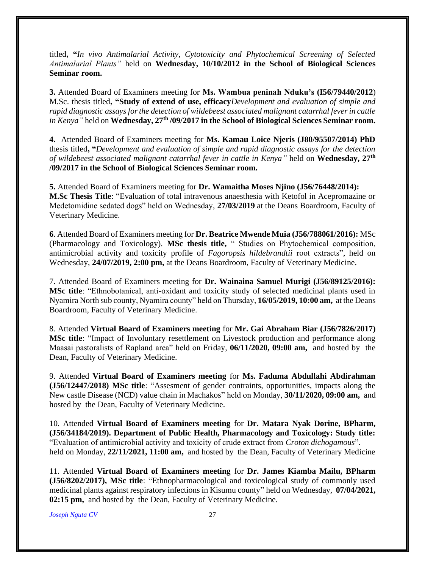titled**, "***In vivo Antimalarial Activity, Cytotoxicity and Phytochemical Screening of Selected Antimalarial Plants"* held on **Wednesday, 10/10/2012 in the School of Biological Sciences Seminar room.**

**3.** Attended Board of Examiners meeting for **Ms. Wambua peninah Nduku's (I56/79440/2012**) M.Sc. thesis titled**, "Study of extend of use, efficacy***Development and evaluation of simple and rapid diagnostic assays for the detection of wildebeest associated malignant catarrhal fever in cattle in Kenya"* held on **Wednesday, 27th /09/2017 in the School of Biological Sciences Seminar room.**

**4.** Attended Board of Examiners meeting for **Ms. Kamau Loice Njeris (J80/95507/2014) PhD**  thesis titled**, "***Development and evaluation of simple and rapid diagnostic assays for the detection of wildebeest associated malignant catarrhal fever in cattle in Kenya"* held on **Wednesday, 27th /09/2017 in the School of Biological Sciences Seminar room.**

**5.** Attended Board of Examiners meeting for **Dr. Wamaitha Moses Njino (J56/76448/2014): M.Sc Thesis Title**: "Evaluation of total intravenous anaesthesia with Ketofol in Acepromazine or Medetomidine sedated dogs" held on Wednesday, **27/03/2019** at the Deans Boardroom, Faculty of Veterinary Medicine.

**6**. Attended Board of Examiners meeting for **Dr. Beatrice Mwende Muia (J56/788061/2016):** MSc (Pharmacology and Toxicology). **MSc thesis title,** " Studies on Phytochemical composition, antimicrobial activity and toxicity profile of *Fagoropsis hildebrandtii* root extracts", held on Wednesday, **24/07/2019, 2:00 pm,** at the Deans Boardroom, Faculty of Veterinary Medicine.

7. Attended Board of Examiners meeting for **Dr. Wainaina Samuel Murigi (J56/89125/2016): MSc title**: "Ethnobotanical, anti-oxidant and toxicity study of selected medicinal plants used in Nyamira North sub county, Nyamira county" held on Thursday, **16/05/2019, 10:00 am,** at the Deans Boardroom, Faculty of Veterinary Medicine.

8. Attended **Virtual Board of Examiners meeting** for **Mr. Gai Abraham Biar (J56/7826/2017) MSc title**: "Impact of Involuntary resettlement on Livestock production and performance along Maasai pastoralists of Rapland area" held on Friday, **06/11/2020, 09:00 am,** and hosted by the Dean, Faculty of Veterinary Medicine.

9. Attended **Virtual Board of Examiners meeting** for **Ms. Faduma Abdullahi Abdirahman (J56/12447/2018) MSc title**: "Assesment of gender contraints, opportunities, impacts along the New castle Disease (NCD) value chain in Machakos" held on Monday, **30/11/2020, 09:00 am,** and hosted by the Dean, Faculty of Veterinary Medicine.

10. Attended **Virtual Board of Examiners meeting** for **Dr. Matara Nyak Dorine, BPharm, (J56/34184/2019). Department of Public Health, Pharmacology and Toxicology: Study title:**  "Evaluation of antimicrobial activity and toxicity of crude extract from *Croton dichogamous*". held on Monday, **22/11/2021, 11:00 am,** and hosted by the Dean, Faculty of Veterinary Medicine

11. Attended **Virtual Board of Examiners meeting** for **Dr. James Kiamba Mailu, BPharm (J56/8202/2017), MSc title**: "Ethnopharmacological and toxicological study of commonly used medicinal plants against respiratory infections in Kisumu county" held on Wednesday, **07/04/2021, 02:15 pm,** and hosted by the Dean, Faculty of Veterinary Medicine.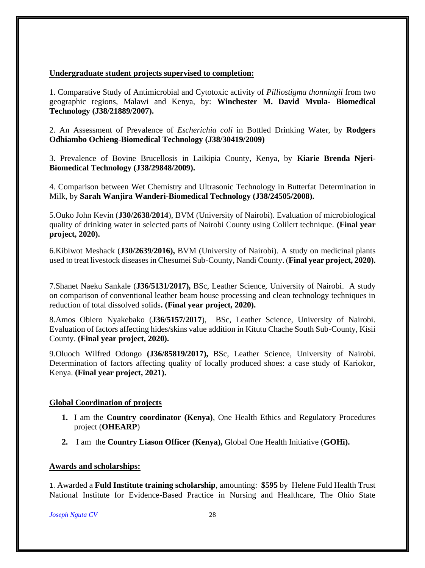#### **Undergraduate student projects supervised to completion:**

1. Comparative Study of Antimicrobial and Cytotoxic activity of *Pilliostigma thonningii* from two geographic regions, Malawi and Kenya, by: **Winchester M. David Mvula- Biomedical Technology (J38/21889/2007).**

2. An Assessment of Prevalence of *Escherichia coli* in Bottled Drinking Water, by **Rodgers Odhiambo Ochieng**-**Biomedical Technology (J38/30419/2009)**

3. Prevalence of Bovine Brucellosis in Laikipia County, Kenya, by **Kiarie Brenda Njeri-Biomedical Technology (J38/29848/2009).**

4. Comparison between Wet Chemistry and Ultrasonic Technology in Butterfat Determination in Milk, by **Sarah Wanjira Wanderi-Biomedical Technology (J38/24505/2008).**

5.Ouko John Kevin (**J30/2638/2014**), BVM (University of Nairobi). Evaluation of microbiological quality of drinking water in selected parts of Nairobi County using Colilert technique. **(Final year project, 2020).** 

6.Kibiwot Meshack (**J30/2639/2016),** BVM (University of Nairobi). A study on medicinal plants used to treat livestock diseases in Chesumei Sub-County, Nandi County. (**Final year project, 2020).** 

7.Shanet Naeku Sankale (**J36/5131/2017),** BSc, Leather Science, University of Nairobi. A study on comparison of conventional leather beam house processing and clean technology techniques in reduction of total dissolved solids**. (Final year project, 2020).** 

8.Amos Obiero Nyakebako (**J36/5157/2017**), BSc, Leather Science, University of Nairobi. Evaluation of factors affecting hides/skins value addition in Kitutu Chache South Sub-County, Kisii County. **(Final year project, 2020).**

9.Oluoch Wilfred Odongo **(J36/85819/2017),** BSc, Leather Science, University of Nairobi. Determination of factors affecting quality of locally produced shoes: a case study of Kariokor, Kenya. **(Final year project, 2021).**

#### **Global Coordination of projects**

- **1.** I am the **Country coordinator (Kenya)**, One Health Ethics and Regulatory Procedures project (**OHEARP**)
- **2.** I am the **Country Liason Officer (Kenya),** Global One Health Initiative (**GOHi).**

#### **Awards and scholarships:**

1. Awarded a **Fuld Institute training scholarship**, amounting: **\$595** by Helene Fuld Health Trust National Institute for Evidence-Based Practice in Nursing and Healthcare, The Ohio State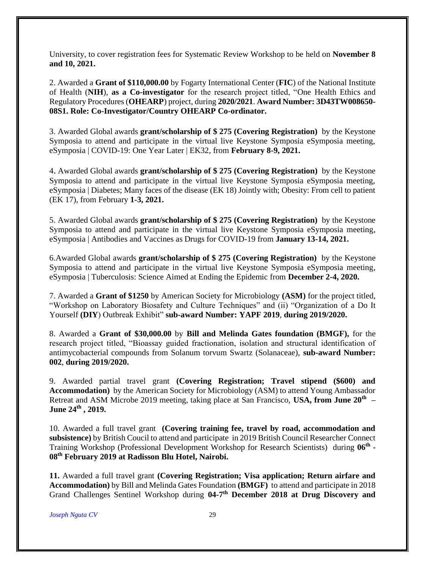University, to cover registration fees for Systematic Review Workshop to be held on **November 8 and 10, 2021.**

2. Awarded a **Grant of \$110,000.00** by Fogarty International Center (**FIC**) of the National Institute of Health (**NIH**), **as a Co-investigator** for the research project titled, "One Health Ethics and Regulatory Procedures (**OHEARP**) project, during **2020/2021**. **Award Number: 3D43TW008650- 08S1. Role: Co-Investigator/Country OHEARP Co-ordinator.**

3. Awarded Global awards **grant/scholarship of \$ 275 (Covering Registration)** by the Keystone Symposia to attend and participate in the virtual live Keystone Symposia eSymposia meeting, eSymposia | COVID-19: One Year Later | EK32, from **February 8-9, 2021.**

4. Awarded Global awards **grant/scholarship of \$ 275 (Covering Registration)** by the Keystone Symposia to attend and participate in the virtual live Keystone Symposia eSymposia meeting, eSymposia | Diabetes; Many faces of the disease (EK 18) Jointly with; Obesity: From cell to patient (EK 17), from February **1-3, 2021.**

5. Awarded Global awards **grant/scholarship of \$ 275 (Covering Registration)** by the Keystone Symposia to attend and participate in the virtual live Keystone Symposia eSymposia meeting, eSymposia | Antibodies and Vaccines as Drugs for COVID-19 from **January 13-14, 2021.** 

6.Awarded Global awards **grant/scholarship of \$ 275 (Covering Registration)** by the Keystone Symposia to attend and participate in the virtual live Keystone Symposia eSymposia meeting, eSymposia | Tuberculosis: Science Aimed at Ending the Epidemic from **December 2-4, 2020.**

7. Awarded a **Grant of \$1250** by American Society for Microbiology **(ASM)** for the project titled, "Workshop on Laboratory Biosafety and Culture Techniques" and (ii) "Organization of a Do It Yourself **(DIY**) Outbreak Exhibit" **sub-award Number: YAPF 2019**, **during 2019/2020.**

8. Awarded a **Grant of \$30,000.00** by **Bill and Melinda Gates foundation (BMGF),** for the research project titled, "Bioassay guided fractionation, isolation and structural identification of antimycobacterial compounds from Solanum torvum Swartz (Solanaceae), **sub-award Number: 002**, **during 2019/2020.**

9. Awarded partial travel grant **(Covering Registration; Travel stipend (\$600) and Accommodation)** by the American Society for Microbiology (ASM) to attend Young Ambassador Retreat and ASM Microbe 2019 meeting, taking place at San Francisco, **USA, from June 20th – June 24th , 2019.**

10. Awarded a full travel grant **(Covering training fee, travel by road, accommodation and subsistence)** by British Coucil to attend and participate in 2019 British Council Researcher Connect Training Workshop (Professional Development Workshop for Research Scientists) during **06th - 08th February 2019 at Radisson Blu Hotel, Nairobi.**

**11.** Awarded a full travel grant **(Covering Registration; Visa application; Return airfare and Accommodation)** by Bill and Melinda Gates Foundation **(BMGF)** to attend and participate in 2018 Grand Challenges Sentinel Workshop during 04-7<sup>th</sup> December 2018 at Drug Discovery and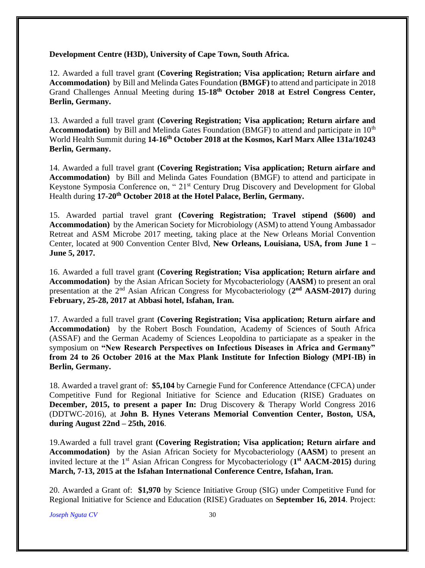**Development Centre (H3D), University of Cape Town, South Africa.** 

12. Awarded a full travel grant **(Covering Registration; Visa application; Return airfare and Accommodation)** by Bill and Melinda Gates Foundation **(BMGF)** to attend and participate in 2018 Grand Challenges Annual Meeting during **15-18th October 2018 at Estrel Congress Center, Berlin, Germany.**

13. Awarded a full travel grant **(Covering Registration; Visa application; Return airfare and Accommodation**) by Bill and Melinda Gates Foundation (BMGF) to attend and participate in 10<sup>th</sup> World Health Summit during **14-16th October 2018 at the Kosmos, Karl Marx Allee 131a/10243 Berlin, Germany.**

14. Awarded a full travel grant **(Covering Registration; Visa application; Return airfare and Accommodation)** by Bill and Melinda Gates Foundation (BMGF) to attend and participate in Keystone Symposia Conference on, " 21<sup>st</sup> Century Drug Discovery and Development for Global Health during **17-20th October 2018 at the Hotel Palace, Berlin, Germany.**

15. Awarded partial travel grant **(Covering Registration; Travel stipend (\$600) and Accommodation)** by the American Society for Microbiology (ASM) to attend Young Ambassador Retreat and ASM Microbe 2017 meeting, taking place at the New Orleans Morial Convention Center, located at 900 Convention Center Blvd, **New Orleans, Louisiana, USA, from June 1 – June 5, 2017.**

16. Awarded a full travel grant **(Covering Registration; Visa application; Return airfare and Accommodation)** by the Asian African Society for Mycobacteriology (**AASM**) to present an oral presentation at the 2<sup>nd</sup> Asian African Congress for Mycobacteriology (2<sup>nd</sup> AASM-2017) during **February, 25-28, 2017 at Abbasi hotel, Isfahan, Iran.**

17. Awarded a full travel grant **(Covering Registration; Visa application; Return airfare and Accommodation)** by the Robert Bosch Foundation, Academy of Sciences of South Africa (ASSAF) and the German Academy of Sciences Leopoldina to particiapate as a speaker in the symposium on **"New Research Perspectives on Infectious Diseases in Africa and Germany" from 24 to 26 October 2016 at the Max Plank Institute for Infection Biology (MPI-IB) in Berlin, Germany.**

18. Awarded a travel grant of: **\$5,104** by Carnegie Fund for Conference Attendance (CFCA) under Competitive Fund for Regional Initiative for Science and Education (RISE) Graduates on **December, 2015, to present a paper In:** Drug Discovery & Therapy World Congress 2016 (DDTWC-2016), at **John B. Hynes Veterans Memorial Convention Center, Boston, USA, during August 22nd – 25th, 2016**.

19.Awarded a full travel grant **(Covering Registration; Visa application; Return airfare and Accommodation)** by the Asian African Society for Mycobacteriology (**AASM**) to present an invited lecture at the 1<sup>st</sup> Asian African Congress for Mycobacteriology (1<sup>st</sup> AACM-2015) during **March, 7-13, 2015 at the Isfahan International Conference Centre, Isfahan, Iran.**

20. Awarded a Grant of: **\$1,970** by Science Initiative Group (SIG) under Competitive Fund for Regional Initiative for Science and Education (RISE) Graduates on **September 16, 2014**. Project: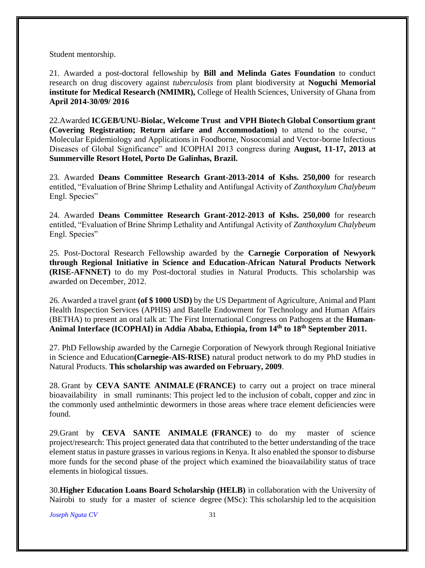Student mentorship.

21. Awarded a post-doctoral fellowship by **Bill and Melinda Gates Foundation** to conduct research on drug discovery against *tuberculosis* from plant biodiversity at **Noguchi Memorial institute for Medical Research (NMIMR),** College of Health Sciences, University of Ghana from **April 2014**-**30/09/ 2016**

22.Awarded **ICGEB/UNU-Biolac, Welcome Trust and VPH Biotech Global Consortium grant (Covering Registration; Return airfare and Accommodation)** to attend to the course, " Molecular Epidemiology and Applications in Foodborne, Nosocomial and Vector-borne Infectious Diseases of Global Significance" and ICOPHAI 2013 congress during **August, 11-17, 2013 at Summerville Resort Hotel, Porto De Galinhas, Brazil.**

23. Awarded **Deans Committee Research Grant-2013-2014 of Kshs. 250,000** for research entitled, "Evaluation of Brine Shrimp Lethality and Antifungal Activity of *Zanthoxylum Chalybeum* Engl. Species"

24. Awarded **Deans Committee Research Grant-2012-2013 of Kshs. 250,000** for research entitled, "Evaluation of Brine Shrimp Lethality and Antifungal Activity of *Zanthoxylum Chalybeum* Engl. Species"

25. Post-Doctoral Research Fellowship awarded by the **Carnegie Corporation of Newyork through Regional Initiative in Science and Education-African Natural Products Network (RISE-AFNNET)** to do my Post-doctoral studies in Natural Products. This scholarship was awarded on December, 2012.

26. Awarded a travel grant **(of \$ 1000 USD)** by the US Department of Agriculture, Animal and Plant Health Inspection Services (APHIS) and Batelle Endowment for Technology and Human Affairs (BETHA) to present an oral talk at: The First International Congress on Pathogens at the **Human-Animal Interface (ICOPHAI) in Addia Ababa, Ethiopia, from 14th to 18th September 2011.**

27. PhD Fellowship awarded by the Carnegie Corporation of Newyork through Regional Initiative in Science and Education**(Carnegie-AIS-RISE)** natural product network to do my PhD studies in Natural Products. **This scholarship was awarded on February, 2009**.

28. Grant by **CEVA SANTE ANIMALE (FRANCE)** to carry out a project on trace mineral bioavailability in small ruminants: This project led to the inclusion of cobalt, copper and zinc in the commonly used anthelmintic dewormers in those areas where trace element deficiencies were found.

29.Grant by **CEVA SANTE ANIMALE (FRANCE)** to do my master of science project/research: This project generated data that contributed to the better understanding of the trace element status in pasture grasses in various regions in Kenya. It also enabled the sponsor to disburse more funds for the second phase of the project which examined the bioavailability status of trace elements in biological tissues.

30.**Higher Education Loans Board Scholarship (HELB)** in collaboration with the University of Nairobi to study for a master of science degree (MSc): This scholarship led to the acquisition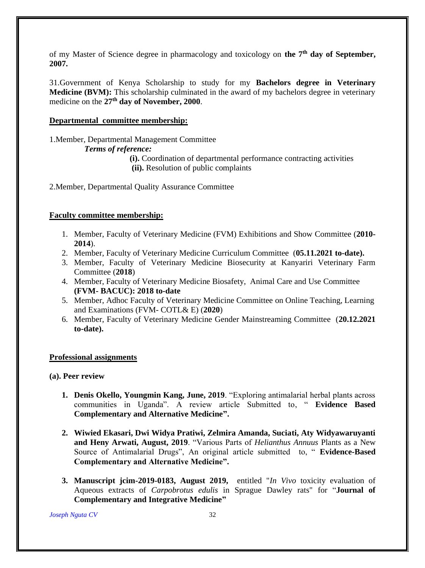of my Master of Science degree in pharmacology and toxicology on **the 7th day of September, 2007.**

31.Government of Kenya Scholarship to study for my **Bachelors degree in Veterinary Medicine (BVM):** This scholarship culminated in the award of my bachelors degree in veterinary medicine on the **27th day of November, 2000**.

#### **Departmental committee membership:**

1.Member, Departmental Management Committee *Terms of reference:*

> **(i).** Coordination of departmental performance contracting activities **(ii).** Resolution of public complaints

2.Member, Departmental Quality Assurance Committee

#### **Faculty committee membership:**

- 1. Member, Faculty of Veterinary Medicine (FVM) Exhibitions and Show Committee (**2010- 2014**).
- 2. Member, Faculty of Veterinary Medicine Curriculum Committee (**05.11.2021 to-date).**
- 3. Member, Faculty of Veterinary Medicine Biosecurity at Kanyariri Veterinary Farm Committee (**2018**)
- 4. Member, Faculty of Veterinary Medicine Biosafety, Animal Care and Use Committee **(FVM- BACUC): 2018 to-date**
- 5. Member, Adhoc Faculty of Veterinary Medicine Committee on Online Teaching, Learning and Examinations (FVM- COTL& E) (**2020**)
- 6. Member, Faculty of Veterinary Medicine Gender Mainstreaming Committee (**20.12.2021 to-date).**

#### **Professional assignments**

**(a). Peer review**

- **1. Denis Okello, Youngmin Kang, June, 2019**. "Exploring antimalarial herbal plants across communities in Uganda". A review article Submitted to, " **Evidence Based Complementary and Alternative Medicine".**
- **2. Wiwied Ekasari, Dwi Widya Pratiwi, Zelmira Amanda, Suciati, Aty Widyawaruyanti and Heny Arwati, August, 2019**. "Various Parts of *Helianthus Annuus* Plants as a New Source of Antimalarial Drugs", An original article submitted to, " **Evidence-Based Complementary and Alternative Medicine".**
- **3. Manuscript jcim-2019-0183, August 2019,** entitled "*In Vivo* toxicity evaluation of Aqueous extracts of *Carpobrotus edulis* in Sprague Dawley rats" for "**Journal of Complementary and Integrative Medicine"**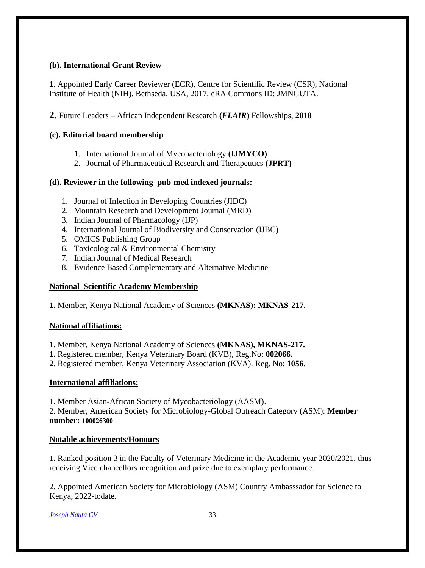## **(b). International Grant Review**

**1**. Appointed Early Career Reviewer (ECR), Centre for Scientific Review (CSR), National Institute of Health (NIH), Bethseda, USA, 2017, eRA Commons ID: JMNGUTA.

**2.** Future Leaders – African Independent Research **(***FLAIR***)** Fellowships, **2018**

# **(c). Editorial board membership**

- 1. International Journal of Mycobacteriology **(IJMYCO)**
- 2. Journal of Pharmaceutical Research and Therapeutics **(JPRT)**

# **(d). Reviewer in the following pub-med indexed journals:**

- 1. Journal of Infection in Developing Countries (JIDC)
- 2. Mountain Research and Development Journal (MRD)
- 3. Indian Journal of Pharmacology (IJP)
- 4. International Journal of Biodiversity and Conservation (IJBC)
- 5. OMICS Publishing Group
- 6. Toxicological & Environmental Chemistry
- 7. Indian Journal of Medical Research
- 8. Evidence Based Complementary and Alternative Medicine

# **National Scientific Academy Membership**

**1.** Member, Kenya National Academy of Sciences **(MKNAS): MKNAS-217.**

## **National affiliations:**

**1.** Member, Kenya National Academy of Sciences **(MKNAS), MKNAS-217.**

**1.** Registered member, Kenya Veterinary Board (KVB), Reg.No: **002066.**

**2**. Registered member, Kenya Veterinary Association (KVA). Reg. No: **1056**.

## **International affiliations:**

1. Member Asian-African Society of Mycobacteriology (AASM).

2. Member, American Society for Microbiology-Global Outreach Category (ASM): **Member number: 100026300** 

## **Notable achievements/Honours**

1. Ranked position 3 in the Faculty of Veterinary Medicine in the Academic year 2020/2021, thus receiving Vice chancellors recognition and prize due to exemplary performance.

2. Appointed American Society for Microbiology (ASM) Country Ambasssador for Science to Kenya, 2022-todate.